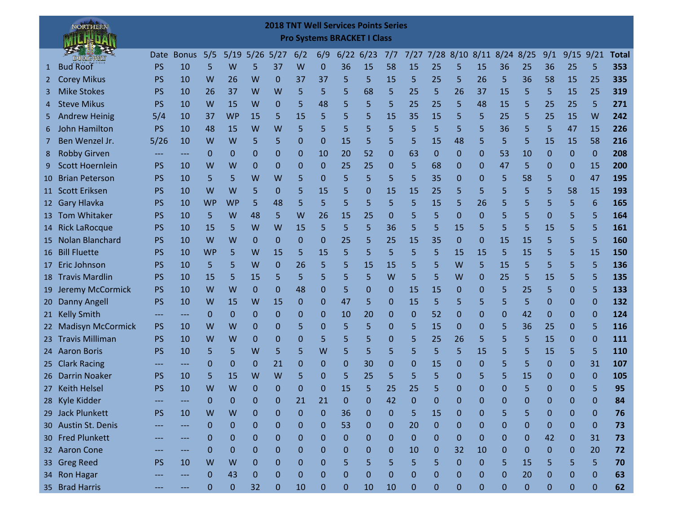## **2018 TNT Well Services Points Series Pro Systems BRACKET I Class**

|     | NORTHERN               |           |              |           |              |                |             |              |              |             | <b>2018 TNT Well Services Points Series</b><br><b>Pro Systems BRACKET I Class</b> |              |              |             |             |    |                |             |              |             |              |              |
|-----|------------------------|-----------|--------------|-----------|--------------|----------------|-------------|--------------|--------------|-------------|-----------------------------------------------------------------------------------|--------------|--------------|-------------|-------------|----|----------------|-------------|--------------|-------------|--------------|--------------|
|     |                        | Date      | <b>Bonus</b> | 5/5       |              | 5/19 5/26 5/27 |             | 6/2          | 6/9          | 6/22        | 6/23                                                                              | 7/7          | 7/27         |             | $7/28$ 8/10 |    | 8/11 8/24 8/25 |             | 9/1          | $9/15$ 9/21 |              | <b>Total</b> |
| 1   | <b>Bud Roof</b>        | <b>PS</b> | 10           | 5         | W            | 5              | 37          | W            | $\Omega$     | 36          | 15                                                                                | 58           | 15           | 25          | 5           | 15 | 36             | 25          | 36           | 25          | 5            | 353          |
|     | <b>Corey Mikus</b>     | <b>PS</b> | 10           | W         | 26           | W              | 0           | 37           | 37           | 5           | 5                                                                                 | 15           | 5            | 25          | 5           | 26 | 5              | 36          | 58           | 15          | 25           | 335          |
| 3   | <b>Mike Stokes</b>     | <b>PS</b> | 10           | 26        | 37           | w              | w           | 5            | 5            | 5           | 68                                                                                | 5            | 25           | 5           | 26          | 37 | 15             | 5           | 5            | 15          | 25           | 319          |
| 4   | <b>Steve Mikus</b>     | <b>PS</b> | 10           | W         | 15           | W              | 0           | 5            | 48           | 5           | 5                                                                                 | 5            | 25           | 25          | 5           | 48 | 15             | 5           | 25           | 25          | 5            | 271          |
| 5.  | <b>Andrew Heinig</b>   | 5/4       | 10           | 37        | <b>WP</b>    | 15             | 5           | 15           | 5            | 5           | 5                                                                                 | 15           | 35           | 15          | 5           | 5  | 25             | 5           | 25           | 15          | W            | 242          |
| 6   | John Hamilton          | <b>PS</b> | 10           | 48        | 15           | W              | W           | 5            | 5            | 5           | 5                                                                                 | 5            | 5            | 5           | 5           | 5  | 36             | 5           | 5            | 47          | 15           | 226          |
|     | Ben Wenzel Jr.         | 5/26      | 10           | W         | W            | 5              | 5           | 0            | 0            | 15          | 5                                                                                 | 5            | 5            | 15          | 48          | 5  | 5              | 5           | 15           | 15          | 58           | 216          |
| 8   | <b>Robby Girven</b>    |           | ---          | 0         | 0            | 0              | 0           | 0            | 10           | 20          | 52                                                                                | 0            | 63           | 0           | 0           | 0  | 53             | 10          | 0            | 0           | $\mathbf 0$  | 208          |
| 9   | <b>Scott Hoernlein</b> | <b>PS</b> | 10           | w         | W            | 0              | 0           | 0            | 0            | 25          | 25                                                                                | 0            | 5            | 68          | 0           | 0  | 47             | 5           | 0            | 0           | 15           | 200          |
| 10  | <b>Brian Peterson</b>  | <b>PS</b> | 10           | 5         | 5            | W              | W           | 5            | $\mathbf 0$  | 5           | 5                                                                                 | 5            | 5            | 35          | 0           | 0  | 5              | 58          | 5            | 0           | 47           | 195          |
|     | 11 Scott Eriksen       | <b>PS</b> | 10           | W         | W            | 5              | $\mathbf 0$ | 5            | 15           | 5           | $\mathbf 0$                                                                       | 15           | 15           | 25          | 5           | 5  | 5              | 5           | 5            | 58          | 15           | 193          |
|     | 12 Gary Hlavka         | <b>PS</b> | 10           | <b>WP</b> | <b>WP</b>    | 5              | 48          | 5            | 5            | 5           | 5                                                                                 | 5            | 5            | 15          | 5           | 26 | 5              | 5           | 5            | 5           | 6            | 165          |
| 13. | <b>Tom Whitaker</b>    | <b>PS</b> | 10           | 5         | W            | 48             | 5           | W            | 26           | 15          | 25                                                                                | 0            | 5            | 5           | 0           | 0  | 5              | 5           | 0            | 5           | 5            | 164          |
| 14  | <b>Rick LaRocque</b>   | <b>PS</b> | 10           | 15        | 5            | W              | W           | 15           | 5            | 5           | 5                                                                                 | 36           | 5            | 5           | 15          | 5  | 5              | 5           | 15           | 5           | 5            | 161          |
| 15. | Nolan Blanchard        | <b>PS</b> | 10           | W         | W            | 0              | 0           | 0            | 0            | 25          | 5                                                                                 | 25           | 15           | 35          | 0           | 0  | <b>15</b>      | 15          | 5            | 5           | 5            | 160          |
| 16  | <b>Bill Fluette</b>    | <b>PS</b> | 10           | <b>WP</b> | 5            | w              | 15          | 5            | 15           | 5           | 5                                                                                 | 5            | 5            | 5           | 15          | 15 | 5              | 15          | 5            | 5           | 15           | 150          |
| 17  | Eric Johnson           | <b>PS</b> | 10           | 5         | 5            | W              | $\mathbf 0$ | 26           | 5            | 5           | 15                                                                                | 15           | 5            | 5           | W           | 5. | 15             | 5           | 5            | 5           | 5            | 136          |
| 18  | <b>Travis Mardlin</b>  | <b>PS</b> | 10           | 15        | 5            | 15             | 5           | 5            | 5            | 5           | 5                                                                                 | W            | 5            | 5           | w           | 0  | 25             | 5           | 15           | 5           | 5            | 135          |
| 19  | Jeremy McCormick       | <b>PS</b> | 10           | W         | W            | $\mathbf 0$    | 0           | 48           | 0            | 5           | 0                                                                                 | 0            | 15           | 15          | 0           | 0  | 5              | 25          | 5            | 0           | 5            | 133          |
| 20  | Danny Angell           | <b>PS</b> | 10           | W         | 15           | W              | 15          | 0            | 0            | 47          | 5                                                                                 | 0            | 15           | 5           | 5           | 5  | 5              | 5           | $\mathbf 0$  | 0           | $\mathbf 0$  | 132          |
| 21  | <b>Kelly Smith</b>     | $---$     | ---          | 0         | 0            | 0              | 0           | 0            | 0            | 10          | 20                                                                                | 0            | 0            | 52          | 0           | 0  | 0              | 42          | 0            | 0           | $\mathbf 0$  | 124          |
|     | 22 Madisyn McCormick   | <b>PS</b> | 10           | W         | W            | 0              | 0           | 5            | 0            | 5           | 5                                                                                 | 0            | 5            | 15          | 0           | 0  | 5              | 36          | 25           | 0           | 5            | 116          |
| 23  | <b>Travis Milliman</b> | <b>PS</b> | 10           | W         | W            | 0              | 0           | 0            | 5            | 5           | 5                                                                                 | 0            | 5            | 25          | 26          | 5  | 5              | 5           | 15           | 0           | $\mathbf 0$  | 111          |
| 24  | <b>Aaron Boris</b>     | <b>PS</b> | 10           | 5         | 5            | W              | 5           | 5            | W            | 5           | 5                                                                                 | 5            | 5            | 5           | 5           | 15 | 5              | 5           | 15           | 5           | 5            | 110          |
| 25  | <b>Clark Racing</b>    |           | ---          | 0         | 0            | 0              | 21          | 0            | 0            | 0           | 30                                                                                | 0            | 0            | 15          | 0           | 0  | 5              | 5           | $\mathbf 0$  | 0           | 31           | 107          |
| 26  | <b>Darrin Noaker</b>   | <b>PS</b> | 10           | 5         | 15           | W              | W           | 5            | 0            | 5           | 25                                                                                | 5            | 5            | 5           | 0           | 5  | 5              | 15          | 0            | 0           | $\mathbf 0$  | 105          |
|     | 27 Keith Helsel        | <b>PS</b> | 10           | W         | W            | $\Omega$       | 0           | 0            | 0            | 15          | 5                                                                                 | 25           | 25           | 5           | 0           | 0  | $\Omega$       | 5           | 0            | 0           | 5            | 95           |
|     | 28 Kyle Kidder         |           |              | 0         | 0            | 0              | 0           | 21           | 21           | $\mathbf 0$ | 0                                                                                 | 42           | 0            | $\mathbf 0$ | 0           | 0  | 0              | 0           | 0            | 0           | 0            | 84           |
|     | 29 Jack Plunkett       | <b>PS</b> | 10           | W         | W            | 0              | 0           | $\mathbf{0}$ | $\mathbf 0$  | 36          | 0                                                                                 | $\mathbf{0}$ | 5            | 15          | 0           | 0  | 5              | 5           | $\mathbf{0}$ | 0           | $\mathbf{0}$ | 76           |
|     | 30 Austin St. Denis    | $---$     | ---          | 0         | $\mathbf 0$  | 0              | 0           | 0            | 0            | 53          | 0                                                                                 | $\mathbf{0}$ | 20           | $\mathbf 0$ | 0           | 0  | 0              | 0           | $\mathbf{0}$ | 0           | $\mathbf{0}$ | 73           |
|     | 30 Fred Plunkett       |           | ---          | 0         | $\mathbf 0$  | 0              | 0           | 0            | 0            | 0           | 0                                                                                 | 0            | $\mathbf{0}$ | 0           | 0           | 0  | 0              | 0           | 42           | 0           | 31           | 73           |
|     | 32 Aaron Cone          | ---       | ---          | 0         | $\mathbf 0$  | 0              | 0           | 0            | 0            | 0           | 0                                                                                 | 0            | 10           | 0           | 32          | 10 | 0              | 0           | 0            | 0           | 20           | 72           |
|     | 33 Greg Reed           | <b>PS</b> | 10           | W         | W            | 0              | 0           | 0            | 0            | 5           | 5                                                                                 | 5            | 5            | 5           | 0           | 0  | 5              | 15          | 5            | 5           | 5            | 70           |
|     | 34 Ron Hagar           |           |              | 0         | 43           | 0              | 0           | 0            | 0            | 0           | 0                                                                                 | 0            | 0            | 0           | 0           | 0  | 0              | 20          | 0            | 0           | $\mathbf{0}$ | 63           |
|     | 35 Brad Harris         |           |              | 0         | $\mathbf{0}$ | 32             | 0           | 10           | $\mathbf{0}$ | 0           | 10                                                                                | 10           | $\mathbf 0$  | 0           | 0           | 0  | 0              | $\mathbf 0$ | 0            | 0           | $\mathbf 0$  | 62           |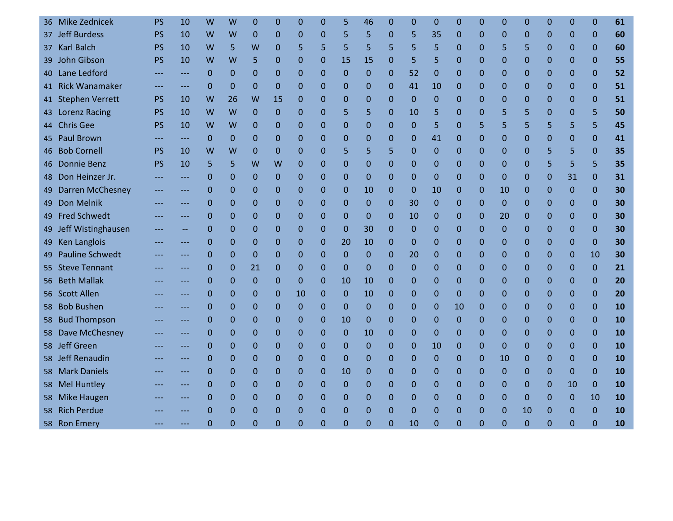|      | 36 Mike Zednicek       | PS        | 10    | W           | W            | $\Omega$     | 0              | $\mathbf{0}$ | 0            | 5           | 46             | $\mathbf 0$ | 0            | $\Omega$     | 0        | 0        | $\mathbf 0$  | 0        | $\mathbf 0$  | 0            | $\mathbf{0}$ | 61 |
|------|------------------------|-----------|-------|-------------|--------------|--------------|----------------|--------------|--------------|-------------|----------------|-------------|--------------|--------------|----------|----------|--------------|----------|--------------|--------------|--------------|----|
|      | 37 Jeff Burdess        | <b>PS</b> | 10    | W           | W            | $\Omega$     | 0              | $\Omega$     | $\Omega$     | 5           | 5              | $\Omega$    | 5            | 35           | 0        | 0        | $\Omega$     | 0        | $\Omega$     | $\Omega$     | $\Omega$     | 60 |
| 37   | <b>Karl Balch</b>      | <b>PS</b> | 10    | W           | 5            | W            | 0              | 5            | 5            | 5           | 5              | 5           | 5            | 5            | 0        | 0        | 5            | 5        | $\Omega$     | $\Omega$     | $\Omega$     | 60 |
|      | 39 John Gibson         | <b>PS</b> | 10    | W           | W            | 5            | 0              | $\Omega$     | 0            | 15          | 15             | $\mathbf 0$ | 5            | 5            | 0        | $\Omega$ | $\mathbf 0$  | 0        | $\Omega$     | $\Omega$     | $\Omega$     | 55 |
| 40   | Lane Ledford           |           | $---$ | 0           | $\Omega$     | $\Omega$     | 0              | $\Omega$     | $\Omega$     | $\Omega$    | 0              | $\Omega$    | 52           | 0            | 0        | 0        | $\mathbf{0}$ | 0        | $\Omega$     | $\Omega$     | $\Omega$     | 52 |
| 41   | <b>Rick Wanamaker</b>  | ---       | ---   | 0           | $\Omega$     | $\Omega$     | $\Omega$       | $\Omega$     | $\Omega$     | $\Omega$    | 0              | $\Omega$    | 41           | 10           | 0        | $\Omega$ | $\Omega$     | 0        | $\Omega$     | $\Omega$     | $\Omega$     | 51 |
|      | 41 Stephen Verrett     | <b>PS</b> | 10    | W           | 26           | W            | 15             | $\Omega$     | $\Omega$     | $\Omega$    | 0              | $\Omega$    | $\mathbf{0}$ | $\Omega$     | 0        | $\Omega$ | $\mathbf{0}$ | 0        | $\Omega$     | $\Omega$     | $\Omega$     | 51 |
|      | 43 Lorenz Racing       | PS        | 10    | W           | W            | $\Omega$     | $\overline{0}$ | $\Omega$     | $\Omega$     | 5           | 5              | $\Omega$    | 10           | 5            | 0        | 0        | 5            | 5        | $\Omega$     | 0            | 5            | 50 |
| 44   | <b>Chris Gee</b>       | <b>PS</b> | 10    | W           | W            | $\Omega$     | 0              | $\Omega$     | $\Omega$     | $\Omega$    | 0              | $\Omega$    | $\mathbf{0}$ | 5            | $\Omega$ | 5        | 5            | 5        | 5            | 5            | 5            | 45 |
| 45   | <b>Paul Brown</b>      |           | $---$ | $\Omega$    | $\Omega$     | $\Omega$     | 0              | $\Omega$     | 0            | $\Omega$    | 0              | $\Omega$    | $\Omega$     | 41           | 0        | $\Omega$ | $\mathbf 0$  | 0        | 0            | $\Omega$     | $\Omega$     | 41 |
| 46   | <b>Bob Cornell</b>     | <b>PS</b> | 10    | W           | W            | $\Omega$     | 0              | $\Omega$     | 0            | 5           | 5              | 5           | $\mathbf{0}$ | $\Omega$     | 0        | 0        | 0            | 0        | 5            | 5            | $\Omega$     | 35 |
| 46   | <b>Donnie Benz</b>     | <b>PS</b> | 10    | 5           | 5            | W            | W              | $\Omega$     | $\Omega$     | $\mathbf 0$ | $\overline{0}$ | $\mathbf 0$ | $\Omega$     | $\Omega$     | 0        | 0        | $\mathbf 0$  | 0        | 5            | 5            | 5            | 35 |
| 48   | Don Heinzer Jr.        |           | ---   | 0           | $\Omega$     | $\Omega$     | 0              | 0            | 0            | $\Omega$    | 0              | $\Omega$    | $\Omega$     | $\Omega$     | 0        | 0        | $\mathbf{0}$ | 0        | $\Omega$     | 31           | $\Omega$     | 31 |
| 49   | Darren McChesney       |           | $---$ | 0           | 0            | $\mathbf{0}$ | 0              | $\Omega$     | 0            | 0           | 10             | $\Omega$    | $\mathbf{0}$ | 10           | 0        | 0        | 10           | 0        | $\Omega$     | $\Omega$     | $\Omega$     | 30 |
| 49   | Don Melnik             |           | $---$ | 0           | 0            | $\Omega$     | 0              | $\Omega$     | $\mathbf{0}$ | $\mathbf 0$ | $\Omega$       | $\mathbf 0$ | 30           | $\Omega$     | 0        | 0        | $\mathbf{0}$ | 0        | $\mathbf 0$  | $\Omega$     | $\Omega$     | 30 |
| 49   | <b>Fred Schwedt</b>    |           | $---$ | 0           | 0            | $\Omega$     | $\Omega$       | $\Omega$     | 0            | 0           | 0              | $\Omega$    | 10           | $\Omega$     | 0        | 0        | 20           | 0        | $\Omega$     | $\Omega$     | $\Omega$     | 30 |
|      | 49 Jeff Wistinghausen  |           | 44    | 0           | $\mathbf{0}$ | $\mathbf{0}$ | 0              | $\Omega$     | $\Omega$     | 0           | 30             | $\mathbf 0$ | $\mathbf{0}$ | $\Omega$     | 0        | 0        | $\mathbf 0$  | 0        | $\mathbf{0}$ | $\Omega$     | $\Omega$     | 30 |
| 49   | <b>Ken Langlois</b>    |           | $---$ | 0           | 0            | $\Omega$     | 0              | $\Omega$     | 0            | 20          | 10             | $\mathbf 0$ | $\mathbf{0}$ | $\Omega$     | 0        | 0        | 0            | 0        | $\Omega$     | $\Omega$     | $\Omega$     | 30 |
| 49   | <b>Pauline Schwedt</b> |           | $---$ | 0           | 0            | $\Omega$     | 0              | $\Omega$     | $\Omega$     | $\Omega$    | $\Omega$       | $\Omega$    | 20           | $\Omega$     | 0        | 0        | $\mathbf{0}$ | 0        | $\Omega$     | $\Omega$     | 10           | 30 |
|      | 55 Steve Tennant       |           | $---$ | 0           | $\mathbf{0}$ | 21           | 0              | 0            | 0            | $\Omega$    | 0              | $\Omega$    | $\mathbf{0}$ | $\Omega$     | 0        | 0        | $\mathbf{0}$ | 0        | $\Omega$     | $\Omega$     | $\Omega$     | 21 |
| 56 - | <b>Beth Mallak</b>     |           | $---$ | 0           | 0            | $\Omega$     | 0              | $\Omega$     | 0            | 10          | 10             | $\mathbf 0$ | $\mathbf{0}$ | $\Omega$     | 0        | 0        | 0            | 0        | $\mathbf{0}$ | $\Omega$     | $\Omega$     | 20 |
|      | 56 Scott Allen         |           | $---$ | 0           | 0            | $\Omega$     | 0              | 10           | 0            | $\mathbf 0$ | 10             | $\mathbf 0$ | $\mathbf 0$  | $\mathbf{0}$ | 0        | 0        | 0            | 0        | $\mathbf 0$  | $\Omega$     | $\mathbf{0}$ | 20 |
| 58   | <b>Bob Bushen</b>      |           | $---$ | 0           | $\mathbf{0}$ | $\Omega$     | 0              | $\Omega$     | $\Omega$     | $\Omega$    | 0              | $\Omega$    | $\mathbf{0}$ | $\Omega$     | 10       | 0        | 0            | 0        | $\Omega$     | $\Omega$     | $\Omega$     | 10 |
| 58   | <b>Bud Thompson</b>    |           | ---   | 0           | $\Omega$     | $\Omega$     | 0              | 0            | 0            | 10          | 0              | $\Omega$    | $\Omega$     | $\Omega$     | 0        | 0        | 0            | 0        | $\mathbf{0}$ | $\Omega$     | $\Omega$     | 10 |
| 58   | Dave McChesney         |           | $---$ | 0           | $\mathbf{0}$ | $\Omega$     | 0              | 0            | 0            | $\mathbf 0$ | 10             | $\mathbf 0$ | $\Omega$     | $\Omega$     | 0        | 0        | 0            | 0        | 0            | $\Omega$     | $\Omega$     | 10 |
|      | 58 Jeff Green          |           | $---$ | 0           | 0            | $\Omega$     | 0              | $\Omega$     | $\mathbf{0}$ | $\mathbf 0$ | 0              | $\mathbf 0$ | $\mathbf{0}$ | 10           | 0        | 0        | $\mathbf 0$  | 0        | $\mathbf 0$  | $\mathbf{0}$ | $\Omega$     | 10 |
|      | 58 Jeff Renaudin       |           | $---$ | 0           | 0            | $\Omega$     | 0              | $\Omega$     | 0            | $\Omega$    | 0              | 0           | $\Omega$     | $\Omega$     | 0        | 0        | 10           | 0        | 0            | $\Omega$     | $\Omega$     | 10 |
| 58   | <b>Mark Daniels</b>    |           | $---$ | $\mathbf 0$ | 0            | $\Omega$     | 0              | 0            | 0            | 10          | 0              | 0           | $\mathbf 0$  | 0            | 0        | 0        | 0            | 0        | 0            | $\Omega$     | $\Omega$     | 10 |
|      | 58 Mel Huntley         |           | $---$ | $\mathbf 0$ | 0            | $\Omega$     | 0              | $\Omega$     | $\mathbf{0}$ | $\mathbf 0$ | 0              | $\mathbf 0$ | $\Omega$     | $\Omega$     | 0        | 0        | $\mathbf 0$  | 0        | $\mathbf{0}$ | 10           | $\Omega$     | 10 |
| 58   | Mike Haugen            |           | ---   | 0           | 0            | $\Omega$     | 0              | 0            | 0            | 0           | 0              | 0           | 0            | 0            | 0        | 0        | 0            | 0        | 0            | $\Omega$     | 10           | 10 |
| 58.  | <b>Rich Perdue</b>     |           |       | 0           | 0            | $\Omega$     | 0              | 0            | 0            | 0           | 0              | 0           | $\Omega$     | $\mathbf{0}$ | 0        | 0        | 0            | 10       | 0            | 0            | $\Omega$     | 10 |
|      | 58 Ron Emery           |           |       | 0           | $\Omega$     | ŋ            | $\Omega$       | U            | 0            | $\Omega$    | O              | 0           | 10           | $\Omega$     | 0        | 0        | $\Omega$     | $\Omega$ | O            | $\Omega$     | $\Omega$     | 10 |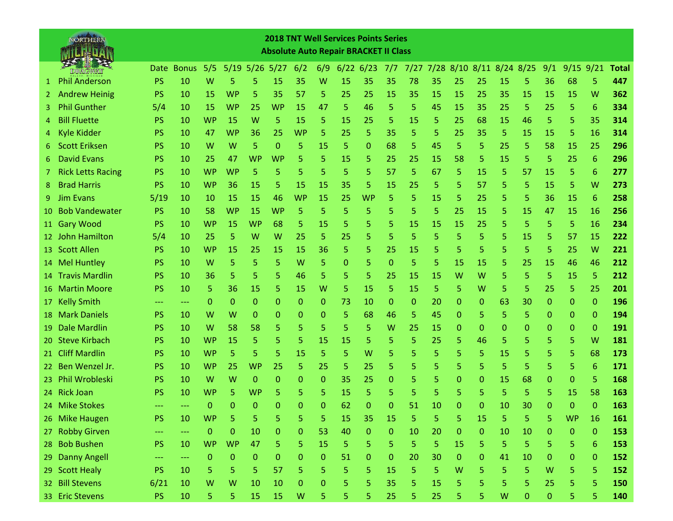|                 | NORTHERN                 |           |              |             |              |                      |              |              |              |           | <b>2018 TNT Well Services Points Series</b>  |              |    |    |              |                |                               |             |              |               |                |              |
|-----------------|--------------------------|-----------|--------------|-------------|--------------|----------------------|--------------|--------------|--------------|-----------|----------------------------------------------|--------------|----|----|--------------|----------------|-------------------------------|-------------|--------------|---------------|----------------|--------------|
|                 |                          |           |              |             |              |                      |              |              |              |           | <b>Absolute Auto Repair BRACKET II Class</b> |              |    |    |              |                |                               |             |              |               |                |              |
|                 |                          | Date      | <b>Bonus</b> | 5/5         |              | $5/19$ $5/26$ $5/27$ |              | 6/2          | 6/9          |           | $6/22$ 6/23                                  | $7/7$        |    |    |              |                | 7/27 7/28 8/10 8/11 8/24 8/25 |             | 9/1          | $9/15$ $9/21$ |                | <b>Total</b> |
| $1 \cdot$       | <b>Phil Anderson</b>     | <b>PS</b> | 10           | W           | 5            | 5                    | 15           | 35           | w            | <b>15</b> | 35                                           | 35           | 78 | 35 | 25           | 25             | 15                            | 5           | 36           | 68            | 5              | 447          |
| 2.              | <b>Andrew Heinig</b>     | <b>PS</b> | 10           | 15          | <b>WP</b>    | 5                    | 35           | 57           | 5            | 25        | 25                                           | 15           | 35 | 15 | 15           | 25             | 35                            | <b>15</b>   | 15           | 15            | W              | 362          |
| 3.              | <b>Phil Gunther</b>      | 5/4       | 10           | 15          | <b>WP</b>    | 25                   | <b>WP</b>    | 15           | 47           | 5         | 46                                           | 5            | 5  | 45 | 15           | 35             | 25                            | 5           | 25           | 5             | 6              | 334          |
| 4               | <b>Bill Fluette</b>      | <b>PS</b> | 10           | <b>WP</b>   | 15           | W                    | 5            | 15           | 5            | 15        | 25                                           | 5            | 15 | 5  | 25           | 68             | 15                            | 46          | 5            | 5             | 35             | 314          |
| 4.              | <b>Kyle Kidder</b>       | PS        | 10           | 47          | <b>WP</b>    | 36                   | 25           | <b>WP</b>    | 5            | 25        | 5                                            | 35           | 5  | 5  | 25           | 35             | 5                             | 15          | 15           | 5             | 16             | 314          |
| 6.              | <b>Scott Eriksen</b>     | <b>PS</b> | 10           | W           | W            | 5                    | $\mathbf{0}$ | 5            | 15           | 5         | $\Omega$                                     | 68           | 5  | 45 | 5            | 5              | 25                            | 5           | 58           | 15            | 25             | 296          |
| 6.              | <b>David Evans</b>       | <b>PS</b> | 10           | 25          | 47           | WP                   | <b>WP</b>    | 5            | 5            | 15        | 5                                            | 25           | 25 | 15 | 58           | 5              | 15                            | 5           | 5            | 25            | 6              | 296          |
| 7.              | <b>Rick Letts Racing</b> | PS        | 10           | <b>WP</b>   | <b>WP</b>    | 5                    | 5            | 5            | 5            | 5         | 5                                            | 57           | 5  | 67 | 5            | 15             | 5                             | 57          | 15           | 5             | 6              | 277          |
| 8.              | <b>Brad Harris</b>       | <b>PS</b> | 10           | <b>WP</b>   | 36           | 15                   | 5            | 15           | 15           | 35        | 5                                            | 15           | 25 | 5  | 5            | 57             | 5                             | 5           | 15           | 5             | W              | 273          |
| 9.              | <b>Jim Evans</b>         | 5/19      | 10           | 10          | 15           | 15                   | 46           | <b>WP</b>    | 15           | 25        | <b>WP</b>                                    | 5            | 5  | 15 | 5            | 25             | 5                             | 5           | 36           | 15            | 6              | 258          |
| 10              | <b>Bob Vandewater</b>    | <b>PS</b> | 10           | 58          | <b>WP</b>    | 15                   | <b>WP</b>    | 5            | 5            | 5         | 5                                            | 5            | 5  | 5  | 25           | 15             | 5                             | 15          | 47           | 15            | 16             | 256          |
| 11 <sub>1</sub> | <b>Gary Wood</b>         | PS        | 10           | <b>WP</b>   | 15           | <b>WP</b>            | 68           | 5            | 15           | 5         | 5                                            | 5            | 15 | 15 | 15           | 25             | 5                             | 5           | 5            | 5             | 16             | 234          |
|                 | 12 John Hamilton         | 5/4       | 10           | 25          | 5            | W                    | W            | 25           | 5            | 25        | 5                                            | 5            | 5  | 5  | 5            | 5              | 5                             | <b>15</b>   | 5            | 57            | 15             | 222          |
|                 | 13 Scott Allen           | <b>PS</b> | 10           | <b>WP</b>   | 15           | 25                   | 15           | 15           | 36           | 5         | 5                                            | 25           | 15 | 5  | 5            | 5              | 5                             | 5           | 5            | 25            | W              | 221          |
| 14 <sup>1</sup> | <b>Mel Huntley</b>       | <b>PS</b> | 10           | W           | 5            | 5                    | 5            | W            | 5            | 0         | 5                                            | $\mathbf{0}$ | 5  | 5  | 15           | 15             | 5                             | 25          | 15           | 46            | 46             | 212          |
|                 | 14 Travis Mardlin        | <b>PS</b> | 10           | 36          | 5            | 5                    | 5            | 46           | 5            | 5         | 5                                            | 25           | 15 | 15 | w            | W              | 5                             | 5           | 5            | 15            | 5              | 212          |
| 16              | <b>Martin Moore</b>      | <b>PS</b> | 10           | 5           | 36           | 15                   | 5            | 15           | W            | 5         | 15                                           | 5            | 15 | 5  | 5            | W              | 5                             | 5           | 25           | 5             | 25             | 201          |
| 17              | <b>Kelly Smith</b>       | ---       | ---          | $\Omega$    | $\mathbf{0}$ | $\mathbf{0}$         | 0            | 0            | $\mathbf{0}$ | 73        | 10                                           | 0            | 0  | 20 | 0            | 0              | 63                            | 30          | 0            | $\mathbf{0}$  | 0              | 196          |
| 18              | <b>Mark Daniels</b>      | <b>PS</b> | 10           | W           | W            | $\mathbf{0}$         | 0            | 0            | $\mathbf{0}$ | 5         | 68                                           | 46           | 5  | 45 | 0            | 5              | 5                             | 5           | $\mathbf{0}$ | $\mathbf{0}$  | 0              | 194          |
| 19              | <b>Dale Mardlin</b>      | <b>PS</b> | 10           | W           | 58           | 58                   | 5            | 5            | 5            | 5         | 5                                            | W            | 25 | 15 | $\Omega$     | $\mathbf{0}$   | $\mathbf 0$                   | 0           | 0            | $\mathbf{0}$  | 0              | 191          |
|                 | 20 Steve Kirbach         | <b>PS</b> | 10           | <b>WP</b>   | 15           | 5                    | 5            | 5            | 15           | 15        | 5                                            | 5            | 5  | 25 | 5            | 46             | 5                             | 5           | 5            | 5             | W              | 181          |
| 21.             | <b>Cliff Mardlin</b>     | <b>PS</b> | 10           | <b>WP</b>   | 5            | 5                    | 5            | 15           | 5            | 5         | W                                            | 5            | 5  | 5  | 5            | 5              | 15                            | 5           | 5            | 5             | 68             | 173          |
| 22.             | Ben Wenzel Jr.           | <b>PS</b> | 10           | <b>WP</b>   | 25           | <b>WP</b>            | 25           | 5.           | 25           | 5         | 25                                           | 5            | 5  | 5  | 5            | 5              | 5                             | 5           | 5            | 5             | 6              | 171          |
| 23.             | <b>Phil Wrobleski</b>    | <b>PS</b> | 10           | W           | W            | $\Omega$             | $\mathbf{0}$ | 0            | 0            | 35        | 25                                           | 0            | 5  | 5  | 0            | 0              | 15                            | 68          | $\mathbf{0}$ | $\Omega$      | 5              | 168          |
| 24.             | <b>Rick Joan</b>         | <b>PS</b> | 10           | <b>WP</b>   | 5            | <b>WP</b>            | 5            | 5            | 5            | 15        | 5                                            | 5            | 5  | 5  | 5            | 5              | 5                             | 5           | 5            | 15            | 58             | 163          |
|                 | 24 Mike Stokes           | ---       | ---          | 0           | 0            | 0                    | 0            | 0            | 0            | 62        | 0                                            | 0            | 51 | 10 | 0            | 0              | 10                            | 30          | 0            | 0             | 0              | 163          |
|                 | 26 Mike Haugen           | <b>PS</b> | 10           | <b>WP</b>   | 5            | 5                    | 5            | 5            | 5            | 15        | 35                                           | 15           | 5  | 5  | 5.           | 15             | 5                             | 5           | 5            | <b>WP</b>     | 16             | 161          |
| 27              | <b>Robby Girven</b>      | ---       | ---          | $\mathbf 0$ | $\mathbf{0}$ | 10                   | $\mathbf 0$  | 0            | 53           | 40        | $\mathbf 0$                                  | $\pmb{0}$    | 10 | 20 | $\mathbf 0$  | $\overline{0}$ | 10                            | 10          | $\pmb{0}$    | $\mathbf{0}$  | $\overline{0}$ | 153          |
|                 | 28 Bob Bushen            | <b>PS</b> | 10           | <b>WP</b>   | <b>WP</b>    | 47                   | 5            | 5            | 15           | 5         | 5                                            | 5            | 5  | 5  | 15           | 5              | 5                             | 5           | 5            | 5             | $6\phantom{1}$ | 153          |
|                 | 29 Danny Angell          | ---       | ---          | $\mathbf 0$ | $\mathbf{0}$ | $\mathbf{0}$         | $\mathbf{0}$ | 0            | $\mathbf{0}$ | 51        | $\mathbf 0$                                  | $\pmb{0}$    | 20 | 30 | $\mathbf{O}$ | $\overline{0}$ | 41                            | 10          | $\mathbf{0}$ | $\mathbf{0}$  | 0              | 152          |
|                 | 29 Scott Healy           | <b>PS</b> | 10           | 5           | 5            | 5                    | 57           | 5            | 5            | 5         | 5                                            | 15           | 5  | 5  | W            | 5.             | 5                             | 5           | W            | 5             | 5              | 152          |
|                 | 32 Bill Stevens          | 6/21      | 10           | W           | W            | 10                   | 10           | $\mathbf{0}$ | $\mathbf{0}$ | 5         | 5                                            | 35           | 5  | 15 | 5            | 5              | 5                             | 5           | 25           | 5             | 5              | 150          |
|                 | 33 Eric Stevens          | <b>PS</b> | $10\,$       | 5           | 5            | 15                   | 15           | W            | 5            | 5         | 5                                            | 25           | 5  | 25 | 5            | 5              | W                             | $\mathbf 0$ | $\pmb{0}$    | 5             | 5              | 140          |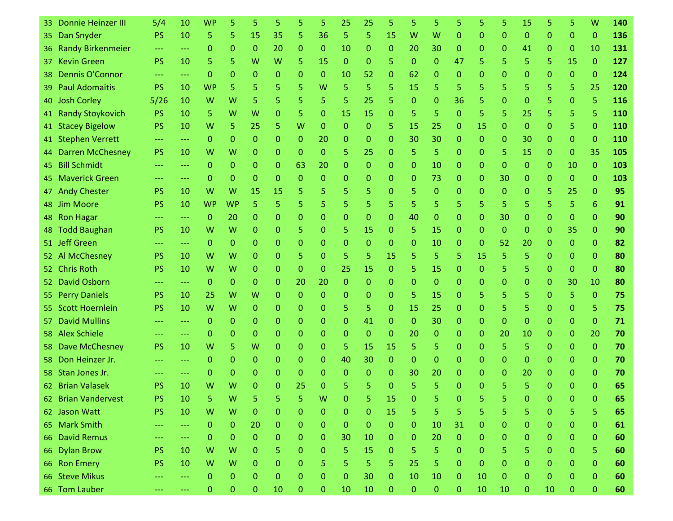| 33.             | Donnie Heinzer III       | 5/4       | 10       | <b>WP</b> |              |              | 5            | 5            |                | 25           | 25           | 5            |                | 5            | 5  |              | 5            | 15           | 5            |              | W                | 140 |
|-----------------|--------------------------|-----------|----------|-----------|--------------|--------------|--------------|--------------|----------------|--------------|--------------|--------------|----------------|--------------|----|--------------|--------------|--------------|--------------|--------------|------------------|-----|
| 35 <sub>1</sub> | Dan Snyder               | <b>PS</b> | 10       | 5         | 5            | 15           | 35           | 5.           | 36             | 5            | 5            | 15           | W              | W            | 0  | 0            | $\Omega$     | $\Omega$     | 0            | $\Omega$     | $\mathbf{0}$     | 136 |
| 36 -            | <b>Randy Birkenmeier</b> | ---       | ---      | 0         | 0            | $\mathbf{0}$ | 20           | $\Omega$     | $\mathbf{0}$   | 10           | 0            | $\mathbf{0}$ | 20             | 30           | 0  | 0            | 0            | 41           | 0            | $\Omega$     | 10               | 131 |
| 37.             | <b>Kevin Green</b>       | <b>PS</b> | 10       | 5         | 5            | W            | W            | 5            | 15             | $\Omega$     | $\mathbf{0}$ | 5            | $\mathbf{0}$   | $\Omega$     | 47 | 5            | 5            | 5            | 5            | 15           | $\mathbf{0}$     | 127 |
| 38.             | <b>Dennis O'Connor</b>   | ---       | ---      | 0         | 0            | $\Omega$     | 0            | 0            | $\mathbf{0}$   | 10           | 52           | $\mathbf 0$  | 62             | $\mathbf{0}$ | 0  | 0            | $\Omega$     | 0            | 0            | $\Omega$     | $\mathbf{0}$     | 124 |
| 39.             | <b>Paul Adomaitis</b>    | <b>PS</b> | 10       | <b>WP</b> | 5            | 5            | 5            | 5            | W              | 5            | 5            | 5            | 15             | 5            | 5  | 5            | 5            | 5            | 5            | 5            | 25               | 120 |
|                 | 40 Josh Corley           | 5/26      | 10       | W         | W            | 5            | 5            | 5            | 5.             | 5            | 25           | 5            | $\Omega$       | $\mathbf{0}$ | 36 | 5            | $\Omega$     | 0            | 5            | $\Omega$     | 5                | 116 |
|                 | 41 Randy Stoykovich      | PS.       | 10       | 5         | W            | W            | 0            | 5            | 0              | 15           | 15           | $\Omega$     | 5              | 5            | 0  | 5            | 5            | 25           | 5            | 5            | 5                | 110 |
|                 | 41 Stacey Bigelow        | <b>PS</b> | 10       | W         | 5            | 25           | 5            | W            | $\Omega$       | $\Omega$     | $\Omega$     | 5.           | 15             | 25           | 0  | 15           | 0            | $\Omega$     | $\Omega$     | 5            | $\mathbf{0}$     | 110 |
|                 | 41 Stephen Verrett       | ---       | ---      | 0         | 0            | $\mathbf{0}$ | 0            | $\Omega$     | 20             | 0            | 0            | $\mathbf{0}$ | 30             | 30           | 0  | 0            | 0            | 30           | 0            | 0            | $\mathbf{0}$     | 110 |
|                 | 44 Darren McChesney      | <b>PS</b> | 10       | W         | W            | $\Omega$     | 0            | $\Omega$     | $\Omega$       | 5            | 25           | $\mathbf{0}$ | 5              | 5            | 0  | 0            | 5            | 15           | $\mathbf 0$  | $\Omega$     | 35               | 105 |
| 45 -            | <b>Bill Schmidt</b>      |           | ---      | 0         | $\Omega$     | $\Omega$     | 0            | 63           | 20             | $\mathbf{0}$ | $\mathbf{0}$ | 0            | $\Omega$       | 10           | 0  | 0            | 0            | $\Omega$     | $\mathbf{0}$ | 10           | $\mathbf{0}$     | 103 |
|                 | 45 Maverick Green        | $---$     | ---      | 0         | $\Omega$     | $\Omega$     | $\mathbf{0}$ | $\Omega$     | $\Omega$       | $\Omega$     | 0            | $\Omega$     | $\mathbf{0}$   | 73           | 0  | 0            | 30           | $\Omega$     | $\Omega$     | $\mathbf{0}$ | $\Omega$         | 103 |
| 47 -            | <b>Andy Chester</b>      | <b>PS</b> | 10       | W         | W            | 15           | 15           | 5.           | 5              | 5            | 5            | 0            | 5              | $\Omega$     | 0  | 0            | $\Omega$     | 0            | 5            | 25           | $\Omega$         | 95  |
|                 | 48 Jim Moore             | <b>PS</b> | 10       | <b>WP</b> | <b>WP</b>    | 5            | 5            | 5            | 5              | 5            | 5            | 5            | 5              | 5            | 5  | 5            | 5            | 5            | 5            | 5            | 6                | 91  |
| 48              | <b>Ron Hagar</b>         |           | ---      | 0         | 20           | $\Omega$     | 0            | 0            | 0              | $\Omega$     | $\Omega$     | $\Omega$     | 40             | $\Omega$     | 0  | 0            | 30           | 0            | $\Omega$     | $\Omega$     | $\Omega$         | 90  |
| 48              | <b>Todd Baughan</b>      | <b>PS</b> | 10       | W         | W            | $\Omega$     | 0            | 5            | 0              | 5            | 15           | 0            | 5              | 15           | 0  | 0            | $\mathbf 0$  | $\Omega$     | 0            | 35           | $\Omega$         | 90  |
|                 | 51 Jeff Green            | ---       | 444      | 0         | 0            | $\Omega$     | 0            | $\Omega$     | 0              | $\mathbf{0}$ | $\Omega$     | $\Omega$     | $\Omega$       | 10           | 0  | 0            | 52           | 20           | $\mathbf{0}$ | $\mathbf{O}$ | $\mathbf{0}$     | 82  |
|                 | 52 Al McChesney          | <b>PS</b> | 10       | W         | W            | $\Omega$     | 0            | 5            | $\Omega$       | 5            | 5            | 15           | 5              | 5            | 5  | 15           | 5            | 5            | 0            | $\Omega$     | $\Omega$         | 80  |
|                 | 52 Chris Roth            | <b>PS</b> | 10       | W         | W            | $\Omega$     | 0            | $\Omega$     | 0              | 25           | 15           | $\Omega$     | 5              | 15           | 0  | 0            | 5            | 5            | $\Omega$     | $\Omega$     | $\Omega$         | 80  |
| 52 -            | <b>David Osborn</b>      | ---       | $---$    | 0         | 0            | $\mathbf{0}$ | 0            | 20           | 20             | $\mathbf{0}$ | $\Omega$     | $\mathbf{0}$ | $\mathbf{0}$   | $\mathbf{0}$ | 0  | 0            | 0            | 0            | 0            | 30           | 10               | 80  |
|                 | 55 Perry Daniels         | <b>PS</b> | 10       | 25        | W            | W            | 0            | $\Omega$     | $\Omega$       | $\Omega$     | $\mathbf{0}$ | $\mathbf{0}$ | 5              | 15           | 0  | 5            | 5            | 5            | $\Omega$     | 5            | $\Omega$         | 75  |
|                 | 55 Scott Hoernlein       | <b>PS</b> | 10       | W         | W            | $\mathbf{0}$ | 0            | 0            | $\Omega$       | 5            | 5            | 0            | 15             | 25           | 0  | 0            | 5            | 5            | 0            | $\Omega$     | 5                | 75  |
| 57.             | <b>David Mullins</b>     | ---       | ---      | 0         | $\Omega$     | $\Omega$     | 0            | 0            | $\Omega$       | $\mathbf{0}$ | 41           | $\mathbf 0$  | $\mathbf{0}$   | 30           | 0  | 0            | $\Omega$     | 0            | $\Omega$     | $\Omega$     | $\Omega$         | 71  |
|                 | 58 Alex Schiele          | ---       | <u>.</u> | 0         | 0            | $\Omega$     | 0            | 0            | $\Omega$       | $\Omega$     | $\mathbf{0}$ | $\Omega$     | 20             | $\mathbf{0}$ | 0  | 0            | 20           | 10           | 0            | $\Omega$     | 20               | 70  |
| 58 .            | <b>Dave McChesney</b>    | <b>PS</b> | 10       | W         | 5            | W            | 0            | 0            | $\Omega$       | 5            | 15           | 15           | 5              | 5            | 0  | 0            | 5            | 5            | $\mathbf{0}$ | $\Omega$     | $\Omega$         | 70  |
| 58.             | Don Heinzer Jr.          | ---       | ---      | 0         | $\Omega$     | $\Omega$     | 0            | 0            | 0              | 40           | 30           | $\Omega$     | $\Omega$       | $\mathbf{0}$ | 0  | 0            | $\Omega$     | $\Omega$     | 0            | $\Omega$     | $\Omega$         | 70  |
|                 | 58 Stan Jones Jr.        | ---       | ---      | 0         | 0            | $\Omega$     | 0            | $\Omega$     | 0              | $\Omega$     | $\Omega$     | $\Omega$     | 30             | 20           | 0  | 0            | 0            | 20           | 0            | $\Omega$     | $\Omega$         | 70  |
|                 | 62 Brian Valasek         | PS        | 10       | W         | W            | n            | 0            | 25           | 0              |              | 5            | $\Omega$     | 5              | 5            | ი  | $\Omega$     |              | 5            | 0            | O            | $\Omega$         | 65  |
|                 | 62 Brian Vandervest      | PS        | 10       | 5         | W            |              |              | 5            | W              |              | 5            | 15           |                |              | 0  |              |              | 0            | $\mathbf 0$  | 0            | $\mathbf{0}$     | 65  |
|                 | 62 Jason Watt            | <b>PS</b> | 10       | W         | W            | $\mathbf{0}$ | 0            | $\mathbf{0}$ | $\mathbf{0}$   | $\mathbf{0}$ | $\mathbf{0}$ | 15           | 5              | 5            | 5  | 5            | 5            | 5            | $\mathbf{0}$ | 5            | 5                | 65  |
|                 | 65 Mark Smith            | $---$     | $\cdots$ | 0         | $\mathbf{0}$ | 20           | $\mathbf{0}$ | $\mathbf{O}$ | $\mathbf{0}$   | $\mathbf{0}$ | $\mathbf{0}$ | $\mathbf{0}$ | $\overline{0}$ | 10           | 31 | $\mathbf{0}$ | $\mathbf{0}$ | $\mathbf{0}$ | $\mathbf 0$  | $\mathbf{O}$ | $\mathbf{0}$     | 61  |
|                 | 66 David Remus           | ---       | ---      | 0         | $\mathbf{0}$ | $\mathbf{0}$ | 0            | $\mathbf{0}$ | $\mathbf{0}$   | 30           | 10           | $\mathbf{0}$ | $\overline{0}$ | 20           | 0  | 0            | 0            | $\mathbf{0}$ | $\mathbf 0$  | 0            | $\mathbf{0}$     | 60  |
|                 | 66 Dylan Brow            | <b>PS</b> | 10       | W         | W            | $\mathbf{0}$ | 5            | 0            | $\mathbf{0}$   | 5.           | 15           | $\mathbf{0}$ | 5              | 5            | 0  | 0            | 5            | 5.           | $\mathbf 0$  | 0            | 5                | 60  |
|                 | 66 Ron Emery             | <b>PS</b> | 10       | W         | W            | $\mathbf{0}$ | 0            | 0            | 5              | 5            | 5            | 5            | 25             | 5            | 0  | $\mathbf{0}$ | $\mathbf 0$  | $\mathbf{0}$ | $\mathbf 0$  | $\mathbf{0}$ | $\boldsymbol{0}$ | 60  |
|                 | 66 Steve Mikus           |           | ---      | 0         | $\mathbf{0}$ | $\mathbf{0}$ | $\mathbf{0}$ | $\mathbf{0}$ | 0              | $\mathbf{0}$ | 30           | 0            | 10             | 10           | 0  | 10           | $\mathbf{0}$ | $\mathbf{0}$ | $\mathbf 0$  | 0            | $\mathbf{0}$     | 60  |
|                 | 66 Tom Lauber            |           | ---      | 0         | $\pmb{0}$    | $\mathbf{O}$ | 10           | $\mathbf 0$  | $\overline{0}$ | 10           | 10           | $\mathbf{0}$ | $\overline{0}$ | $\pmb{0}$    | 0  | 10           | 10           | $\mathbf{0}$ | 10           | $\mathbf{0}$ | $\mathbf 0$      | 60  |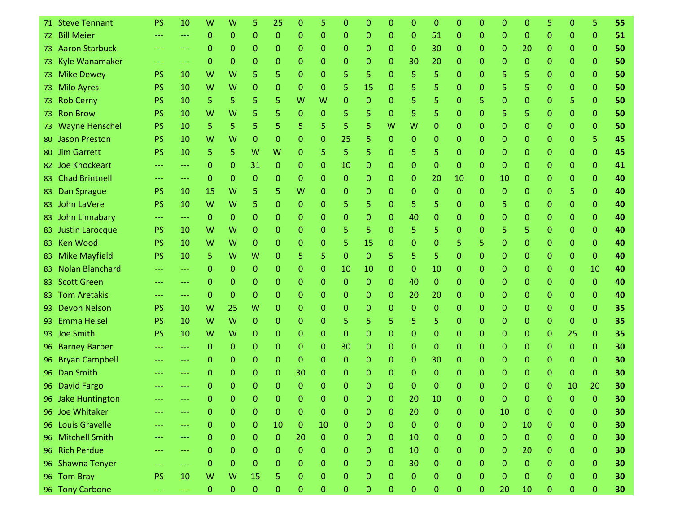|      | 71 Steve Tennant       | <b>PS</b> | 10            | W            | W              | 5              | 25           | 0              |              | O            | 0            | 0            | 0              | 0              | 0              | 0              | 0              | 0            | 5              | 0            | 5              | 55 |
|------|------------------------|-----------|---------------|--------------|----------------|----------------|--------------|----------------|--------------|--------------|--------------|--------------|----------------|----------------|----------------|----------------|----------------|--------------|----------------|--------------|----------------|----|
| 72.  | <b>Bill Meier</b>      |           | ---           | $\mathbf{0}$ | $\mathbf{0}$   | $\mathbf{0}$   | $\mathbf{0}$ | 0              | 0            | 0            | 0            | $\mathbf{0}$ | $\Omega$       | 51             | 0              | 0              | $\mathbf{0}$   | $\Omega$     | $\Omega$       | 0            | $\mathbf{0}$   | 51 |
|      | 73 Aaron Starbuck      |           | ---           | 0            | $\mathbf{0}$   | $\Omega$       | $\mathbf{0}$ | 0              | 0            | 0            | 0            | $\mathbf 0$  | $\mathbf{0}$   | 30             | 0              | 0              | $\mathbf{0}$   | 20           | 0              | 0            | $\mathbf{0}$   | 50 |
|      | 73 Kyle Wanamaker      | $\cdots$  | $---$         | $\mathbf{0}$ | $\mathbf{0}$   | $\mathbf{0}$   | $\mathbf{0}$ | 0              | 0            | 0            | 0            | 0            | 30             | 20             | 0              | 0              | 0              | $\mathbf{0}$ | 0              | 0            | $\mathbf{0}$   | 50 |
| 73 - | <b>Mike Dewey</b>      | <b>PS</b> | 10            | W            | W              | 5              | 5            | 0              | 0            | 5            | 5            | $\Omega$     | 5.             | 5              | 0              | 0              | 5              | 5            | $\Omega$       | 0            | $\mathbf{0}$   | 50 |
|      | 73 Milo Ayres          | <b>PS</b> | 10            | W            | W              | 0              | $\Omega$     | 0              | 0            | 5            | 15           | 0            | 5              | 5              | 0              | 0              | 5              | 5            | $\mathbf{0}$   | 0            | $\mathbf{0}$   | 50 |
| 73.  | <b>Rob Cerny</b>       | <b>PS</b> | 10            | 5            | 5.             | 5              | 5            | W              | W            | 0            | $\Omega$     | $\Omega$     | 5              | 5              | 0              | 5              | $\mathbf{0}$   | $\Omega$     | $\mathbf 0$    | 5            | $\mathbf{0}$   | 50 |
| 73.  | <b>Ron Brow</b>        | <b>PS</b> | 10            | W            | W              | 5              | 5            | 0              | 0            | 5            | 5            | $\Omega$     | 5              | 5              | 0              | 0              | 5              | 5            | $\mathbf{0}$   | 0            | $\mathbf{0}$   | 50 |
| 73.  | <b>Wayne Henschel</b>  | <b>PS</b> | 10            | 5            | 5              | 5              | 5            | 5              | 5            | 5            | 5            | W            | W              | 0              | 0              | 0              | $\Omega$       | $\Omega$     | $\Omega$       | 0            | $\mathbf{0}$   | 50 |
|      | 80 Jason Preston       | PS.       | 10            | W            | W              | 0              | $\mathbf{0}$ | 0              | 0            | 25           | 5            | $\mathbf 0$  | $\mathbf{0}$   | $\mathbf{0}$   | 0              | 0              | 0              | 0            | 0              | 0            | 5              | 45 |
|      | 80 Jim Garrett         | <b>PS</b> | 10            | 5            | 5              | W              | W            | 0              | 5.           | 5            | 5            | $\mathbf 0$  | 5              | 5              | 0              | $\Omega$       | 0              | 0            | 0              | 0            | $\mathbf{0}$   | 45 |
|      | 82 Joe Knockeart       | ---       | ---           | 0            | 0              | 31             | $\mathbf{0}$ | 0              | 0            | 10           | 0            | 0            | $\Omega$       | $\mathbf{0}$   | 0              | $\Omega$       | $\Omega$       | $\Omega$     | 0              | 0            | $\mathbf{0}$   | 41 |
| 83 - | <b>Chad Brintnell</b>  | ---       | $\frac{1}{2}$ | $\Omega$     | $\Omega$       | $\mathbf{0}$   | $\Omega$     | 0              | 0            | $\Omega$     | 0            | 0            | 0              | 20             | 10             | 0              | 10             | 0            | 0              | 0            | $\mathbf{0}$   | 40 |
| 83.  | Dan Sprague            | <b>PS</b> | 10            | 15           | W              | 5              | 5            | W              | 0            | 0            | 0            | 0            | 0              | $\mathbf{0}$   | 0              | 0              | 0              | $\Omega$     | 0              | 5            | $\mathbf{0}$   | 40 |
|      | 83 John LaVere         | <b>PS</b> | 10            | W            | W              | 5              | $\Omega$     | 0              | 0            | 5            | 5            | $\mathbf{0}$ | 5              | 5              | 0              | 0              | 5              | 0            | 0              | 0            | $\mathbf{0}$   | 40 |
| 83   | John Linnabary         | ---       | ---           | $\Omega$     | $\Omega$       | $\Omega$       | $\Omega$     | 0              | 0            | 0            | 0            | 0            | 40             | $\mathbf{0}$   | 0              | $\mathbf{0}$   | 0              | 0            | 0              | 0            | $\mathbf{0}$   | 40 |
|      | 83 Justin Larocque     | <b>PS</b> | 10            | W            | W              | $\Omega$       | $\mathbf{0}$ | 0              | 0            | 5            | 5            | $\mathbf{0}$ | 5              | 5              | 0              | 0              | 5              | 5            | $\mathbf{0}$   | 0            | $\mathbf{0}$   | 40 |
| 83   | <b>Ken Wood</b>        | <b>PS</b> | 10            | W            | W              | $\Omega$       | $\mathbf{0}$ | 0              | 0            | 5            | 15           | 0            | $\Omega$       | $\mathbf{0}$   | 5              | 5              | 0              | $\Omega$     | $\Omega$       | 0            | $\mathbf{0}$   | 40 |
| 83.  | <b>Mike Mayfield</b>   | <b>PS</b> | 10            | 5            | W              | W              | $\Omega$     | 5              | 5            | $\Omega$     | $\Omega$     | 5            | 5              | 5              | $\Omega$       | 0              | 0              | $\mathbf{0}$ | $\mathbf{0}$   | 0            | $\mathbf{0}$   | 40 |
| 83.  | <b>Nolan Blanchard</b> |           | ---           | $\Omega$     | 0              | $\Omega$       | $\mathbf{0}$ | 0              | 0            | 10           | 10           | $\mathbf 0$  | $\Omega$       | 10             | 0              | 0              | 0              | 0            | 0              | 0            | 10             | 40 |
| 83.  | <b>Scott Green</b>     |           | ---           | 0            | 0              | $\Omega$       | $\Omega$     | 0              | 0            | $\mathbf{0}$ | $\mathbf{0}$ | $\mathbf 0$  | 40             | $\mathbf{0}$   | 0              | 0              | 0              | 0            | $\mathbf{0}$   | 0            | $\mathbf{0}$   | 40 |
| 83.  | <b>Tom Aretakis</b>    | ---       | $---$         | $\Omega$     | 0              | $\Omega$       | $\mathbf{0}$ | 0              | 0            | 0            | 0            | $\mathbf 0$  | 20             | 20             | 0              | 0              | 0              | 0            | 0              | 0            | $\mathbf{0}$   | 40 |
| 93.  | <b>Devon Nelson</b>    | <b>PS</b> | 10            | W            | 25             | W              | 0            | 0              | 0            | 0            | 0            | 0            | 0              | $\mathbf{0}$   | 0              | 0              | 0              | 0            | 0              | 0            | $\mathbf{0}$   | 35 |
| 93   | <b>Emma Helsel</b>     | <b>PS</b> | 10            | W            | W              | $\mathbf{0}$   | $\Omega$     | 0              | 0            | 5            | 5            | 5            | 5              | 5              | 0              | 0              | 0              | 0            | 0              | 0            | $\mathbf{0}$   | 35 |
|      | 93 Joe Smith           | <b>PS</b> | 10            | W            | W              | 0              | $\Omega$     | 0              | 0            | 0            | 0            | 0            | $\Omega$       | $\mathbf{0}$   | 0              | 0              | 0              | $\Omega$     | 0              | 25           | $\mathbf{0}$   | 35 |
|      | 96 Barney Barber       |           | $---$         | $\Omega$     | $\mathbf{0}$   | $\Omega$       | $\mathbf{0}$ | 0              | 0            | 30           | 0            | $\mathbf{0}$ | $\Omega$       | $\mathbf{0}$   | 0              | $\Omega$       | 0              | $\Omega$     | 0              | $\Omega$     | $\mathbf{0}$   | 30 |
| 96.  | <b>Bryan Campbell</b>  |           | ---           | 0            | 0              | $\Omega$       | $\mathbf{0}$ | $\Omega$       | 0            | 0            | 0            | 0            | 0              | 30             | 0              | 0              | 0              | 0            | 0              | 0            | $\mathbf{0}$   | 30 |
|      | 96 Dan Smith           |           | ---           | $\mathbf{0}$ | $\mathbf{0}$   | $\Omega$       | $\mathbf{0}$ | 30             | 0            | 0            | 0            | 0            | $\Omega$       | $\mathbf{0}$   | $\Omega$       | $\mathbf{0}$   | $\Omega$       | $\mathbf{0}$ | $\Omega$       | 0            | $\mathbf 0$    | 30 |
|      | 96 David Fargo         |           |               | 0            | 0              | 0              | 0            | 0              | 0            | 0            | 0            | 0            | 0              | 0              | 0              | 0              | o              | $\Omega$     | 0              | 10           | 20             | 30 |
|      | 96 Jake Huntington     |           |               | $\mathbf{0}$ | $\overline{0}$ | $\overline{0}$ | $\mathbf{0}$ | $\overline{0}$ | $\mathbf{0}$ | $\mathbf 0$  | 0            | $\mathbf 0$  | 20             | 10             | $\mathbf{0}$   | $\overline{0}$ | $\overline{0}$ | $\mathbf{0}$ | $\overline{0}$ | $\mathbf{0}$ | $\overline{0}$ | 30 |
|      | 96 Joe Whitaker        |           |               | 0            | $\mathbf{0}$   | $\mathbf{0}$   | $\mathbf{0}$ | 0              | 0            | $\mathbf{0}$ | $\Omega$     | $\mathbf 0$  | 20             | $\mathbf{0}$   | 0              | 0              | 10             | $\mathbf{0}$ | $\mathbf 0$    | 0            | $\mathbf 0$    | 30 |
|      | 96 Louis Gravelle      | ---       | $\cdots$      | $\mathbf{0}$ | $\overline{0}$ | $\overline{0}$ | 10           | $\mathbf{0}$   | 10           | $\mathbf{0}$ | $\mathbf{0}$ | $\mathbf{0}$ | $\overline{0}$ | $\overline{0}$ | $\overline{0}$ | $\mathbf{0}$   | $\overline{0}$ | 10           | $\mathbf{0}$   | 0            | $\mathbf{0}$   | 30 |
|      | 96 Mitchell Smith      |           | ---           | $\mathbf{0}$ | $\mathbf{0}$   | $\mathbf{0}$   | $\mathbf{O}$ | 20             | 0            | $\mathbf{0}$ | 0            | $\mathbf{0}$ | 10             | $\mathbf{0}$   | 0              | 0              | $\overline{0}$ | $\mathbf{0}$ | $\mathbf{0}$   | $\mathbf{0}$ | $\mathbf{0}$   | 30 |
|      | 96 Rich Perdue         | ---       | ---           | 0            | $\mathbf{0}$   | $\mathbf{0}$   | $\mathbf 0$  | $\mathbf{0}$   | 0            | $\mathbf{0}$ | $\mathbf{0}$ | $\mathbf{0}$ | 10             | $\bf 0$        | 0              | 0              | $\mathbf{0}$   | 20           | $\mathbf{0}$   | 0            | $\mathbf{0}$   | 30 |
|      | 96 Shawna Tenyer       | ---       | ---           | $\mathbf{0}$ | $\mathbf{0}$   | $\mathbf{0}$   | $\mathbf{0}$ | $\mathbf{0}$   | 0            | $\mathbf{0}$ | $\mathbf{0}$ | $\mathbf{0}$ | 30             | $\mathbf{0}$   | 0              | $\mathbf{0}$   | $\overline{0}$ | $\mathbf{0}$ | $\mathbf{0}$   | $\mathbf{0}$ | $\mathbf{0}$   | 30 |
|      | 96 Tom Bray            | <b>PS</b> | 10            | W            | W              | 15             | 5            | $\Omega$       | 0            | $\mathbf{0}$ | 0            | $\mathbf{0}$ | $\mathbf{0}$   | $\bf 0$        | 0              | $\mathbf{0}$   | $\overline{0}$ | $\mathbf{0}$ | $\mathbf{0}$   | 0            | $\mathbf{0}$   | 30 |
|      | 96 Tony Carbone        | $---$     | ---           | $\mathbf 0$  | $\mathbf{0}$   | $\mathbf{0}$   | 0            | $\overline{0}$ | $\mathbf{O}$ | $\pmb{0}$    | $\mathbf 0$  | 0            | $\mathbf{0}$   | $\pmb{0}$      | 0              | $\overline{0}$ | 20             | 10           | $\mathbf{0}$   | $\mathbf 0$  | $\mathbf 0$    | 30 |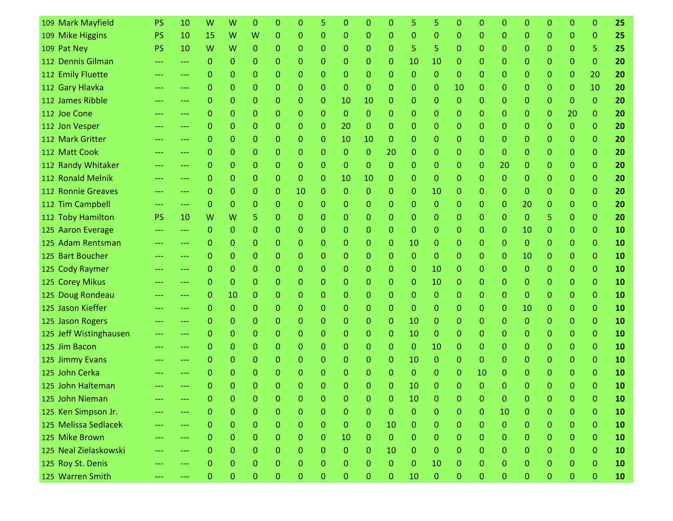| 109 Mark Mayfield      | <b>PS</b>         | 10                | W        | W                | 0              | 0                | Ω              |                | Ω            | O                | 0              | 5            | 5            | O              | Ω            | 0              | O            | 0            | 0            | 0              | 25 |
|------------------------|-------------------|-------------------|----------|------------------|----------------|------------------|----------------|----------------|--------------|------------------|----------------|--------------|--------------|----------------|--------------|----------------|--------------|--------------|--------------|----------------|----|
| 109 Mike Higgins       | <b>PS</b>         | 10                | 15       | W                | W              | $\mathbf{0}$     | 0              | $\mathbf{0}$   | 0            | 0                | $\mathbf 0$    | $\mathbf{0}$ | $\Omega$     | 0              | 0            | $\mathbf{0}$   | $\Omega$     | $\mathbf{0}$ | 0            | $\mathbf{0}$   | 25 |
| 109 Pat Ney            | <b>PS</b>         | 10                | W        | W                | 0              | $\mathbf{0}$     | 0              | $\Omega$       | $\mathbf{0}$ | 0                | 0              | 5            | 5            | 0              | 0            | 0              | $\Omega$     | 0            | 0            | 5              | 25 |
| 112 Dennis Gilman      |                   | ---               | $\Omega$ | 0                | 0              | $\Omega$         | 0              | 0              | 0            | 0                | 0              | 10           | 10           | 0              | 0            | 0              | 0            | 0            | 0            | $\mathbf{0}$   | 20 |
| 112 Emily Fluette      |                   | ---               | $\Omega$ | 0                | 0              | $\Omega$         | 0              | $\Omega$       | 0            | 0                | 0              | $\Omega$     | $\Omega$     | 0              | 0            | 0              | $\Omega$     | $\mathbf{0}$ | 0            | 20             | 20 |
| 112 Gary Hlavka        | ---               | $\qquad \qquad -$ | 0        | $\mathbf 0$      | 0              | $\mathbf 0$      | $\Omega$       | $\mathbf{0}$   | $\mathbf{0}$ | 0                | $\mathbf 0$    | $\mathbf{0}$ | $\mathbf{0}$ | 10             | 0            | $\mathbf{0}$   | $\Omega$     | $\mathbf{0}$ | 0            | 10             | 20 |
| 112 James Ribble       |                   | $\qquad \qquad -$ | $\Omega$ | $\mathbf{0}$     | 0              | $\Omega$         | 0              | $\Omega$       | 10           | 10               | 0              | $\Omega$     | $\mathbf{0}$ | 0              | 0            | 0              | $\Omega$     | $\mathbf{0}$ | 0            | $\mathbf{0}$   | 20 |
| 112 Joe Cone           |                   | $\qquad \qquad -$ | 0        | 0                | 0              | $\mathbf 0$      | $\mathbf{0}$   | $\Omega$       | $\mathbf{0}$ | 0                | $\mathbf 0$    | 0            | $\mathbf{0}$ | 0              | 0            | 0              | 0            | $\mathbf{0}$ | 20           | $\mathbf{0}$   | 20 |
| 112 Jon Vesper         |                   | $---$             | $\Omega$ | 0                | $\mathbf{0}$   | $\Omega$         | $\Omega$       | $\mathbf{0}$   | 20           | 0                | $\mathbf 0$    | $\Omega$     | $\Omega$     | $\Omega$       | 0            | 0              | $\Omega$     | $\Omega$     | $\Omega$     | $\mathbf{0}$   | 20 |
| 112 Mark Gritter       |                   | $---$             | $\Omega$ | 0                | $\mathbf{0}$   | $\Omega$         | 0              | 0              | 10           | 10               | $\mathbf 0$    | 0            | $\mathbf{0}$ | 0              | 0            | $\mathbf{0}$   | $\Omega$     | $\mathbf{0}$ | 0            | $\mathbf{0}$   | 20 |
| 112 Matt Cook          |                   | $---$             | 0        | $\Omega$         | $\mathbf{0}$   | $\mathbf{0}$     | 0              | 0              | $\mathbf{0}$ | 0                | 20             | $\Omega$     | $\mathbf{0}$ | 0              | 0            | $\mathbf{0}$   | $\Omega$     | $\mathbf{0}$ | 0            | $\mathbf{0}$   | 20 |
| 112 Randy Whitaker     |                   | ---               | $\Omega$ | 0                | $\mathbf{0}$   | $\mathbf{0}$     | $\Omega$       | $\Omega$       | $\mathbf{0}$ | 0                | $\mathbf{0}$   | 0            | $\Omega$     | 0              | 0            | 20             | $\mathbf{0}$ | $\mathbf{0}$ | 0            | $\mathbf{0}$   | 20 |
| 112 Ronald Melnik      |                   | $\qquad \qquad -$ | 0        | $\Omega$         | $\mathbf{0}$   | $\Omega$         | $\Omega$       | $\Omega$       | 10           | 10               | 0              | $\Omega$     | $\mathbf{0}$ | 0              | 0            | $\Omega$       | $\Omega$     | $\Omega$     | 0            | $\mathbf{0}$   | 20 |
| 112 Ronnie Greaves     |                   | $\qquad \qquad -$ | 0        | 0                | 0              | $\Omega$         | 10             | 0              | $\mathbf{0}$ | 0                | 0              | 0            | 10           | 0              | 0            | 0              | $\Omega$     | 0            | 0            | $\mathbf{0}$   | 20 |
| 112 Tim Campbell       | $\cdots$          | $\qquad \qquad -$ | $\Omega$ | $\Omega$         | $\overline{0}$ | $\Omega$         | $\Omega$       | $\Omega$       | 0            | 0                | 0              | $\Omega$     | $\mathbf{0}$ | 0              | 0            | 0              | 20           | 0            | 0            | $\mathbf{0}$   | 20 |
| 112 Toby Hamilton      | <b>PS</b>         | 10                | W        | W                | 5              | $\mathbf{0}$     | 0              | $\Omega$       | 0            | 0                | 0              | $\Omega$     | $\mathbf{0}$ | 0              | 0            | $\Omega$       | $\Omega$     | 5            | 0            | $\mathbf{0}$   | 20 |
| 125 Aaron Everage      | ---               | $---$             | $\Omega$ | $\Omega$         | $\overline{0}$ | $\Omega$         | $\Omega$       | $\mathbf{0}$   | 0            | 0                | $\mathbf 0$    | $\Omega$     | $\Omega$     | $\Omega$       | 0            | $\mathbf{0}$   | 10           | $\mathbf{0}$ | 0            | $\mathbf{0}$   | 10 |
| 125 Adam Rentsman      |                   | ---               | 0        | $\Omega$         | 0              | $\Omega$         | 0              | $\Omega$       | 0            | 0                | 0              | 10           | $\mathbf{0}$ | 0              | 0            | $\Omega$       | $\Omega$     | $\Omega$     | 0            | $\mathbf{0}$   | 10 |
| 125 Bart Boucher       | $\qquad \qquad -$ | $\qquad \qquad -$ | 0        | $\mathbf 0$      | $\overline{0}$ | $\mathbf 0$      | $\Omega$       | $\mathbf{0}$   | 0            | 0                | 0              | $\Omega$     | $\Omega$     | $\Omega$       | 0            | 0              | 10           | $\mathbf{0}$ | 0            | $\mathbf{0}$   | 10 |
| 125 Cody Raymer        |                   | ---               | $\Omega$ | $\mathbf 0$      | $\overline{0}$ | $\Omega$         | $\mathbf{0}$   | $\mathbf{0}$   | $\mathbf{0}$ | 0                | 0              | $\Omega$     | 10           | 0              | 0            | $\Omega$       | $\Omega$     | $\Omega$     | 0            | $\mathbf{0}$   | 10 |
| 125 Corey Mikus        |                   | $---$             | 0        | $\mathbf 0$      | $\overline{0}$ | $\Omega$         | $\mathbf{0}$   | $\mathbf{0}$   | $\mathbf{0}$ | 0                | 0              | $\mathbf{0}$ | 10           | 0              | 0            | $\mathbf{0}$   | $\Omega$     | $\mathbf{0}$ | 0            | $\mathbf{0}$   | 10 |
| 125 Doug Rondeau       |                   | $---$             | $\Omega$ | 10               | $\mathbf{0}$   | $\mathbf{0}$     | 0              | $\mathbf{0}$   | 0            | 0                | $\mathbf{0}$   | $\Omega$     | $\mathbf{0}$ | 0              | 0            | $\Omega$       | $\Omega$     | $\Omega$     | 0            | $\mathbf{0}$   | 10 |
| 125 Jason Kieffer      |                   | ---               | $\Omega$ | $\mathbf{0}$     | $\mathbf{0}$   | $\mathbf{0}$     | 0              | 0              | 0            | 0                | 0              | $\Omega$     | $\mathbf 0$  | 0              | 0            | 0              | 10           | $\mathbf{0}$ | 0            | $\mathbf{0}$   | 10 |
| 125 Jason Rogers       |                   | ---               | 0        | $\mathbf{0}$     | $\mathbf{0}$   | $\Omega$         | 0              | $\mathbf{0}$   | $\mathbf{0}$ | 0                | $\mathbf{0}$   | 10           | $\mathbf{0}$ | 0              | 0            | $\Omega$       | $\Omega$     | $\mathbf{0}$ | 0            | $\mathbf{0}$   | 10 |
| 125 Jeff Wistinghausen |                   | ---               | 0        | 0                | $\mathbf{0}$   | $\Omega$         | 0              | 0              | 0            | 0                | 0              | 10           | $\mathbf{0}$ | 0              | 0            | 0              | 0            | 0            | 0            | $\mathbf{0}$   | 10 |
| 125 Jim Bacon          |                   | $\qquad \qquad -$ | $\Omega$ | $\Omega$         | $\overline{0}$ | $\Omega$         | 0              | $\Omega$       | 0            | 0                | 0              | $\Omega$     | 10           | 0              | 0            | $\Omega$       | $\Omega$     | $\Omega$     | 0            | $\mathbf{0}$   | 10 |
| 125 Jimmy Evans        |                   | ---               | $\Omega$ | 0                | $\mathbf{0}$   | $\Omega$         | $\Omega$       | $\Omega$       | $\mathbf{0}$ | 0                | $\mathbf{0}$   | 10           | $\mathbf{0}$ | 0              | $\mathbf{0}$ | $\Omega$       | $\Omega$     | 0            | 0            | $\mathbf{0}$   | 10 |
| 125 John Cerka         |                   | $---$             | 0        | 0                | $\overline{0}$ | $\Omega$         | $\Omega$       | 0              | 0            | 0                | 0              | $\Omega$     | $\Omega$     | 0              | 10           | 0              | $\Omega$     | 0            | $\Omega$     | $\Omega$       | 10 |
| 125 John Halteman      |                   |                   |          | $\Omega$         | $\Omega$       | $\Omega$         | $\Omega$       | 0              |              | O                | 0              | 10           | $\Omega$     | 0              | 0            | n              | $\Omega$     | O            | $\Omega$     | $\Omega$       | 10 |
| 125 John Nieman        |                   |                   | 0        | $\overline{0}$   | $\mathbf{0}$   | $\mathbf{0}$     | $\overline{0}$ | $\overline{0}$ | $\mathbf{0}$ | 0                | $\overline{0}$ | 10           | $\mathbf{0}$ | $\mathbf 0$    | $\mathbf{0}$ | $\mathbf{0}$   | $\mathbf{0}$ | $\mathbf{0}$ | $\mathbf{0}$ | $\overline{0}$ | 10 |
| 125 Ken Simpson Jr.    |                   |                   | O        | $\mathbf{0}$     | $\mathbf{0}$   | $\mathbf{0}$     | 0              | $\Omega$       | $\mathbf{0}$ | 0                | $\mathbf{0}$   | $\mathbf{0}$ | $\mathbf{0}$ | 0              | 0            | 10             | $\Omega$     | $\mathbf 0$  | $\Omega$     | $\mathbf{0}$   | 10 |
| 125 Melissa Sedlacek   | ---               | ---               | 0        | $\boldsymbol{0}$ | $\mathbf{0}$   | $\mathbf 0$      | $\overline{0}$ | $\mathbf 0$    | $\mathbf{0}$ | $\boldsymbol{0}$ | 10             | $\mathbf{0}$ | $\pmb{0}$    | $\overline{0}$ | $\mathbf{0}$ | $\overline{0}$ | $\mathbf 0$  | $\pmb{0}$    | 0            | $\pmb{0}$      | 10 |
| 125 Mike Brown         |                   | ---               | 0        | $\mathbf 0$      | $\mathbf{0}$   | $\mathbf{0}$     | $\mathbf{O}$   | $\mathbf{O}$   | 10           | 0                | $\mathbf{0}$   | $\mathbf{0}$ | $\mathbf{0}$ | $\Omega$       | 0            | $\overline{0}$ | $\mathbf{0}$ | $\mathbf{0}$ | 0            | $\overline{0}$ | 10 |
| 125 Neal Zielaskowski  |                   | ---               | 0        | $\mathbf 0$      | $\mathbf{0}$   | $\mathbf{0}$     | $\Omega$       | $\mathbf{0}$   | $\mathbf{O}$ | 0                | 10             | $\mathbf{0}$ | $\pmb{0}$    | $\Omega$       | 0            | $\mathbf{0}$   | $\mathbf{0}$ | $\mathbf{0}$ | 0            | $\mathbf{0}$   | 10 |
| 125 Roy St. Denis      |                   | ---               | 0        | $\pmb{0}$        | $\mathbf{0}$   | $\mathbf{0}$     | $\mathbf{O}$   | $\mathbf{0}$   | $\mathbf{0}$ | 0                | $\mathbf{0}$   | $\mathbf{0}$ | 10           | 0              | 0            | $\mathbf{0}$   | $\mathbf{0}$ | $\mathbf{0}$ | 0            | $\mathbf{0}$   | 10 |
| 125 Warren Smith       |                   |                   | 0        | $\boldsymbol{0}$ | $\mathbf{O}$   | $\boldsymbol{0}$ | 0              | 0              | 0            | 0                | 0              | 10           | $\pmb{0}$    | 0              | $\mathbf{0}$ | $\overline{0}$ | $\mathbf{0}$ | $\mathbf{0}$ | 0            | 0              | 10 |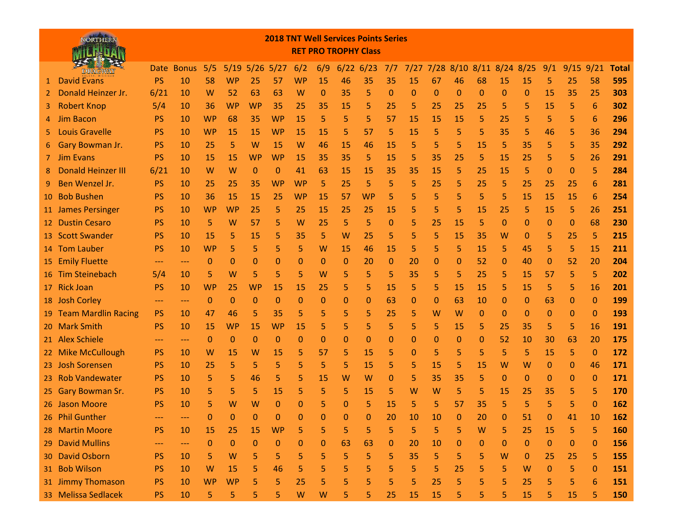|     | NORTHERN                   |           |            |              |              |                      |             |              |              | <b>RET PRO TROPHY Class</b> | <b>2018 TNT Well Services Points Series</b> |             |             |             |    |    |                               |              |              |              |              |              |
|-----|----------------------------|-----------|------------|--------------|--------------|----------------------|-------------|--------------|--------------|-----------------------------|---------------------------------------------|-------------|-------------|-------------|----|----|-------------------------------|--------------|--------------|--------------|--------------|--------------|
|     | DRAGWAY                    |           | Date Bonus | 5/5          |              | $5/19$ $5/26$ $5/27$ |             | 6/2          | 6/9          |                             | $6/22$ 6/23                                 | 7/7         |             |             |    |    | 7/27 7/28 8/10 8/11 8/24 8/25 |              | 9/1          | 9/15         | 9/21         | <b>Total</b> |
|     | <b>David Evans</b>         | <b>PS</b> | 10         | 58           | <b>WP</b>    | 25                   | 57          | <b>WP</b>    | 15           | 46                          | 35                                          | 35          | 15          | 67          | 46 | 68 | 15                            | 15           | 5            | 25           | 58           | 595          |
|     | Donald Heinzer Jr.         | 6/21      | 10         | W            | 52           | 63                   | 63          | W            | 0            | 35                          | 5                                           | $\mathbf 0$ | $\mathbf 0$ | $\mathbf 0$ | 0  | 0  | 0                             | $\mathbf 0$  | 15           | 35           | 25           | 303          |
| 3   | <b>Robert Knop</b>         | 5/4       | 10         | 36           | <b>WP</b>    | <b>WP</b>            | 35          | 25           | 35           | 15                          | 5                                           | 25          | 5           | 25          | 25 | 25 | 5                             | 5            | 15           | 5            | 6            | 302          |
|     | <b>Jim Bacon</b>           | PS        | 10         | <b>WP</b>    | 68           | 35                   | <b>WP</b>   | 15           | 5            | 5                           | 5                                           | 57          | 15          | 15          | 15 | 5. | 25                            | 5            | 5            | 5            | 6            | 296          |
|     | <b>Louis Gravelle</b>      | <b>PS</b> | 10         | <b>WP</b>    | 15           | <b>15</b>            | <b>WP</b>   | <b>15</b>    | 15           | 5                           | 57                                          | 5           | 15          | 5           | 5  | 5  | 35                            | 5            | 46           | 5            | 36           | 294          |
| b   | Gary Bowman Jr.            | <b>PS</b> | 10         | 25           | 5            | W                    | 15          | W            | 46           | <b>15</b>                   | 46                                          | 15          | 5           | 5           | 5  | 15 | 5                             | 35           | 5            | 5            | 35           | 292          |
|     | <b>Jim Evans</b>           | <b>PS</b> | <b>10</b>  | 15           | 15           | <b>WP</b>            | <b>WP</b>   | 15           | 35           | 35                          | 5                                           | 15          | 5           | 35          | 25 | 5  | 15                            | 25           | 5            | 5            | 26           | 291          |
| 8   | <b>Donald Heinzer III</b>  | 6/21      | 10         | W            | W            | $\mathbf{0}$         | 0           | 41           | 63           | 15                          | 15                                          | 35          | 35          | 15          | 5  | 25 | 15                            | 5            | 0            | $\mathbf 0$  | 5            | 284          |
|     | Ben Wenzel Jr.             | <b>PS</b> | 10         | 25           | 25           | 35                   | <b>WP</b>   | <b>WP</b>    | 5            | 25                          | 5                                           | 5           | 5           | 25          | 5  | 25 | 5                             | 25           | 25           | 25           | 6            | 281          |
| 10  | <b>Bob Bushen</b>          | <b>PS</b> | 10         | 36           | 15           | 15                   | 25          | <b>WP</b>    | 15           | 57                          | <b>WP</b>                                   | 5           | 5           | 5           | 5  | 5  | 5                             | 15           | 15           | 15           | 6            | 254          |
|     | 11 James Persinger         | <b>PS</b> | 10         | <b>WP</b>    | <b>WP</b>    | 25                   | 5           | 25           | 15           | 25                          | 25                                          | 15          | 5           | 5           | 5  | 15 | 25                            | 5            | 15           | 5            | 26           | 251          |
| 12. | <b>Dustin Cesaro</b>       | <b>PS</b> | 10         | 5            | W            | 57                   | 5           | W            | 25           | 5                           | 5                                           | $\mathbf 0$ | 5           | 25          | 15 | 5  | 0                             | $\mathbf 0$  | 0            | $\mathbf{0}$ | 68           | 230          |
| 13. | <b>Scott Swander</b>       | <b>PS</b> | 10         | 15           | 5            | 15                   | 5           | 35           | 5            | W                           | 25                                          | 5           | 5           | 5           | 15 | 35 | w                             | 0            | 5            | 25           | 5            | 215          |
| 14  | Tom Lauber                 | <b>PS</b> | 10         | <b>WP</b>    | 5            | 5                    | 5           | 5            | W            | 15                          | 46                                          | 15          | 5           | 5           | 5  | 15 | 5                             | 45           | 5            | 5            | 15           | 211          |
|     | 15 Emily Fluette           | ---       | ---        | $\mathbf{0}$ | 0            | 0                    | 0           | 0            | 0            | 0                           | 20                                          | 0           | 20          | $\mathbf 0$ | 0  | 52 | 0                             | 40           | 0            | 52           | 20           | 204          |
| 16  | Tim Steinebach             | 5/4       | 10         | 5            | W            | 5                    | 5           | 5            | W            | 5                           | 5                                           | 5           | 35          | 5           | 5  | 25 | 5                             | <b>15</b>    | 57           | 5            | 5            | 202          |
| 17  | <b>Rick Joan</b>           | <b>PS</b> | 10         | <b>WP</b>    | 25           | <b>WP</b>            | 15          | 15           | 25           | 5                           | 5                                           | 15          | 5           | 5           | 15 | 15 | 5                             | 15           | 5            | 5            | 16           | 201          |
| 18  | <b>Josh Corley</b>         | ---       | $---$      | 0            | 0            | 0                    | 0           | 0            | 0            | 0                           | 0                                           | 63          | 0           | 0           | 63 | 10 | 0                             | 0            | 63           | 0            | $\mathbf 0$  | 199          |
| 19. | <b>Team Mardlin Racing</b> | <b>PS</b> | 10         | 47           | 46           | 5                    | 35          | 5            | 5            | 5                           | 5                                           | 25          | 5           | W           | w  | 0  | 0                             | 0            | 0            | $\mathbf{0}$ | $\mathbf 0$  | 193          |
| 20  | <b>Mark Smith</b>          | <b>PS</b> | 10         | 15           | <b>WP</b>    | 15                   | <b>WP</b>   | 15           | 5            | 5                           | 5                                           | 5           | 5           | 5           | 15 | 5  | 25                            | 35           | 5            | 5            | 16           | 191          |
|     | 21 Alex Schiele            | $---$     | $---$      | $\mathbf{0}$ | $\mathbf 0$  | $\mathbf{0}$         | 0           | 0            | 0            | 0                           | 0                                           | 0           | 0           | 0           | 0  | 0  | 52                            | <b>10</b>    | 30           | 63           | 20           | 175          |
| 22. | <b>Mike McCullough</b>     | <b>PS</b> | 10         | W            | 15           | W                    | 15          | 5            | 57           | 5                           | 15                                          | 5           | 0           | 5           | 5  | 5  | 5                             | 5            | 15           | 5            | $\mathbf{0}$ | 172          |
| 23  | <b>Josh Sorensen</b>       | <b>PS</b> | 10         | 25           | 5            | 5                    | 5           | 5            | 5            | 5                           | 15                                          | 5           | 5           | 15          | 5  | 15 | w                             | W            | 0            | $\mathbf{0}$ | 46           | 171          |
| 23  | <b>Rob Vandewater</b>      | <b>PS</b> | 10         | 5            | 5            | 46                   | 5           | 5            | 15           | W                           | W                                           | 0           | 5           | 35          | 35 | 5  | 0                             | 0            | 0            | 0            | $\mathbf 0$  | 171          |
|     | 25 Gary Bowman Sr.         | <b>PS</b> | 10         | 5            | 5            | 5                    | 15          | 5            | 5            | 5                           | 15                                          | 5           | w           | W           | 5  | 5  | 15                            | 25           | 35           | 5            | 5            | 170          |
|     | 26 Jason Moore             | <b>PS</b> | 10         | 5            | W            | w                    | 0           | በ            | 5            | $\Omega$                    | 5                                           | 15          | 5           | 5           | 57 | 35 | 5                             | 5            | 5            | 5            | 0            | 162          |
|     | 26 Phil Gunther            |           | ---        | $\mathbf 0$  | $\mathbf{0}$ | $\mathbf 0$          | 0           | 0            | 0            | 0                           | 0                                           | 20          | 10          | 10          | 0  | 20 | 0                             | 51           | $\mathbf{0}$ | 41           | 10           | 162          |
|     | 28 Martin Moore            | PS        | 10         | 15           | 25           | 15                   | <b>WP</b>   | 5            | 5            | 5                           | 5                                           | 5           | 5           | 5           | 5  | W  | 5                             | 25           | 15           | 5            | 5            | 160          |
|     | 29 David Mullins           | ---       | ---        | $\mathbf{0}$ | $\mathbf 0$  | $\mathbf{0}$         | $\mathbf 0$ | $\mathbf{0}$ | $\mathbf{0}$ | 63                          | 63                                          | 0           | 20          | 10          | 0  | 0  | $\mathbf{0}$                  | $\mathbf{0}$ | $\mathbf 0$  | 0            | $\mathbf{0}$ | 156          |
|     | 30 David Osborn            | <b>PS</b> | 10         | 5            | W            | 5                    | 5           | 5            | 5            | 5                           | 5                                           | 5           | 35          | 5           | 5  | 5  | W                             | 0            | 25           | 25           | 5.           | 155          |
|     | 31 Bob Wilson              | <b>PS</b> | 10         | W            | 15           | 5                    | 46          | 5            | 5.           | 5                           | 5                                           | 5           | 5.          | 5           | 25 | 5  | 5                             | W            | 0            | 5            | $\mathbf 0$  | 151          |
|     | 31 Jimmy Thomason          | <b>PS</b> | 10         | <b>WP</b>    | <b>WP</b>    | 5                    | 5           | 25           | 5.           | 5                           | 5                                           | 5           | 5           | 25          | 5  | 5  | 5                             | 25           | 5            | 5            | 6            | 151          |
|     | 33 Melissa Sedlacek        | PS        | 10         | 5            | 5            | 5                    | 5           | W            | W            | 5                           | 5                                           | 25          | 15          | 15          | 5  | 5  | 5.                            | 15           | 5            | 15           | 5            | 150          |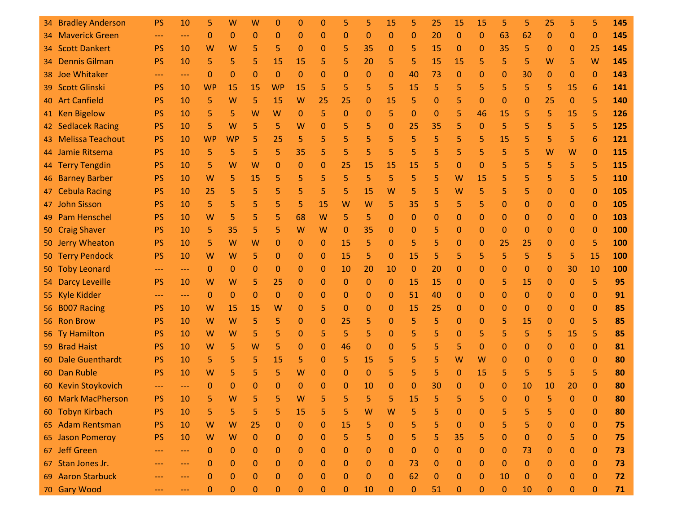| 34 - | <b>Bradley Anderson</b> | <b>PS</b> | 10    | 5            | W            | w            | 0         | 0            | 0            | 5            | 5            | 15               | 5            | 25           | 15             | 15           | 5            | 5            | 25           | 5            | 5               | 145 |
|------|-------------------------|-----------|-------|--------------|--------------|--------------|-----------|--------------|--------------|--------------|--------------|------------------|--------------|--------------|----------------|--------------|--------------|--------------|--------------|--------------|-----------------|-----|
| 34 - | <b>Maverick Green</b>   | ---       | $---$ | $\Omega$     | $\mathbf{0}$ | $\mathbf 0$  | 0         | 0            | 0            | $\mathbf 0$  | 0            | $\Omega$         | 0            | 20           | $\Omega$       | $\mathbf{0}$ | 63           | 62           | $\mathbf 0$  | $\Omega$     | $\mathbf 0$     | 145 |
| 34 - | <b>Scott Dankert</b>    | <b>PS</b> | 10    | W            | W            | 5            | 5         | 0            | 0            | 5            | 35           | $\Omega$         | 5            | 15           | $\mathbf{0}$   | $\mathbf{0}$ | 35           | 5            | $\Omega$     | $\Omega$     | 25              | 145 |
| 34 - | <b>Dennis Gilman</b>    | <b>PS</b> | 10    | 5            | 5            | 5            | 15        | 15           | 5            | 5            | 20           | 5                | 5            | 15           | 15             | 5            | 5            | 5            | W            | 5            | W               | 145 |
|      | 38 Joe Whitaker         | ---       | $---$ | $\Omega$     | $\Omega$     | $\Omega$     | 0         | $\Omega$     | $\mathbf{0}$ | $\Omega$     | $\Omega$     | $\Omega$         | 40           | 73           | 0              | $\mathbf{0}$ | $\Omega$     | 30           | $\mathbf{0}$ | $\Omega$     | $\mathbf 0$     | 143 |
| 39   | <b>Scott Glinski</b>    | <b>PS</b> | 10    | <b>WP</b>    | 15           | 15           | <b>WP</b> | 15           | 5            | 5            | 5            | 5                | 15           | 5            | 5              | 5            | 5            | 5            | 5            | 15           | 6               | 141 |
|      | 40 Art Canfield         | <b>PS</b> | 10    | 5            | W            | 5            | 15        | W            | 25           | 25           | $\Omega$     | 15               | 5            | $\Omega$     | 5              | $\mathbf{0}$ | $\Omega$     | $\mathbf 0$  | 25           | $\mathbf{0}$ | 5               | 140 |
|      | 41 Ken Bigelow          | <b>PS</b> | 10    | 5            | 5            | W            | W         | 0            | 5            | $\mathbf 0$  | 0            | 5                | $\mathbf{0}$ | $\Omega$     | 5              | 46           | 15           | 5            | 5            | 15           | 5               | 126 |
|      | 42 Sedlacek Racing      | <b>PS</b> | 10    | 5            | W            | 5            | 5         | W            | 0            | 5            | 5            | 0                | 25           | 35           | 5              | $\mathbf{0}$ | 5            | 5            | 5            | 5            | 5               | 125 |
| 43.  | <b>Melissa Teachout</b> | <b>PS</b> | 10    | <b>WP</b>    | <b>WP</b>    | 5            | 25        | 5            | 5            | 5            | 5            | 5                | 5            | 5            | 5              | 5            | 15           | 5            | 5            | 5            | $6\phantom{1}6$ | 121 |
|      | 44 Jamie Ritsema        | <b>PS</b> | 10    | 5            | 5            | 5            | 5         | 35           | 5            | 5            | 5            | 5                | 5            | 5            | 5              | 5            | 5            | 5            | W            | W            | $\mathbf{0}$    | 115 |
|      | 44 Terry Tengdin        | <b>PS</b> | 10    | 5            | W            | W            | 0         | 0            | 0            | 25           | 15           | 15               | 15           | 5            | $\Omega$       | $\Omega$     | 5            | 5            | 5            | 5            | 5               | 115 |
| 46   | <b>Barney Barber</b>    | <b>PS</b> | 10    | W            | 5            | 15           | 5         | 5            | 5            | 5            | 5            | 5                | 5            | 5            | W              | 15           | 5            | 5            | 5            | 5            | 5               | 110 |
| 47   | <b>Cebula Racing</b>    | <b>PS</b> | 10    | 25           | 5            | 5            | 5         | 5            | 5            | 5            | 15           | W                | 5            | 5            | W              | 5            | 5            | 5            | 0            | $\Omega$     | $\mathbf{0}$    | 105 |
| 47   | <b>John Sisson</b>      | PS        | 10    | 5            | 5            | 5            | 5         | 5            | 15           | W            | W            | 5                | 35           | 5            | 5              | 5            | $\Omega$     | $\mathbf 0$  | 0            | $\Omega$     | $\mathbf{0}$    | 105 |
| 49   | <b>Pam Henschel</b>     | <b>PS</b> | 10    | W            | 5            | 5            | 5         | 68           | W            | 5            | 5            | $\Omega$         | $\Omega$     | $\Omega$     | $\Omega$       | $\mathbf{0}$ | $\Omega$     | 0            | 0            | $\Omega$     | $\mathbf{0}$    | 103 |
|      | 50 Craig Shaver         | PS        | 10    | 5            | 35           | 5            | 5         | W            | W            | $\mathbf{0}$ | 35           | $\Omega$         | $\mathbf{0}$ | 5            | $\overline{0}$ | $\mathbf{0}$ | $\Omega$     | $\Omega$     | 0            | $\Omega$     | $\mathbf 0$     | 100 |
|      | 50 Jerry Wheaton        | <b>PS</b> | 10    | 5            | W            | W            | 0         | 0            | $\mathbf{0}$ | 15           | 5            | $\Omega$         | 5            | 5            | 0              | $\Omega$     | 25           | 25           | $\mathbf 0$  | $\Omega$     | 5               | 100 |
|      | 50 Terry Pendock        | <b>PS</b> | 10    | W            | W            | 5            | 0         | 0            | $\Omega$     | 15           | 5            | $\Omega$         | 15           | 5            | 5              | 5            | 5            | 5            | 5            | 5            | 15              | 100 |
| 50   | <b>Toby Leonard</b>     |           | $---$ | $\Omega$     | $\mathbf{0}$ | $\Omega$     | 0         | 0            | 0            | 10           | 20           | 10               | $\Omega$     | 20           | 0              | 0            | $\Omega$     | $\mathbf{0}$ | 0            | 30           | 10              | 100 |
| 54.  | <b>Darcy Leveille</b>   | <b>PS</b> | 10    | W            | W            | 5            | 25        | 0            | 0            | $\mathbf 0$  | $\mathbf{0}$ | 0                | 15           | 15           | 0              | $\mathbf{0}$ | 5            | 15           | $\mathbf 0$  | $\mathbf{0}$ | 5               | 95  |
| 55 - | <b>Kyle Kidder</b>      | ---       | $---$ | $\mathbf{0}$ | $\mathbf{0}$ | $\Omega$     | 0         | 0            | $\Omega$     | $\mathbf 0$  | 0            | $\Omega$         | 51           | 40           | 0              | $\mathbf{0}$ | $\Omega$     | $\mathbf{0}$ | $\mathbf{0}$ | 0            | $\Omega$        | 91  |
| 56 - | <b>B007 Racing</b>      | <b>PS</b> | 10    | W            | 15           | 15           | W         | 0            | 5            | $\mathbf{0}$ | 0            | 0                | 15           | 25           | 0              | 0            | $\Omega$     | $\mathbf{0}$ | 0            | 0            | 0               | 85  |
|      | 56 Ron Brow             | <b>PS</b> | 10    | W            | W            | 5            | 5         | $\Omega$     | $\Omega$     | 25           | 5            | 0                | 5            | 5            | 0              | $\Omega$     | 5            | 15           | $\mathbf{0}$ | $\Omega$     | 5               | 85  |
|      | 56 Ty Hamilton          | <b>PS</b> | 10    | W            | W            | 5            | 5         | 0            | 5            | 5            | 5            | 0                | 5            | 5            | 0              | 5            | 5            | 5            | 5            | 15           | 5               | 85  |
| 59.  | <b>Brad Haist</b>       | <b>PS</b> | 10    | W            | 5            | W            | 5         | $\Omega$     | 0            | 46           | 0            | $\Omega$         | 5            | 5            | 5              | $\Omega$     | $\Omega$     | $\mathbf{0}$ | 0            | $\Omega$     | $\mathbf{0}$    | 81  |
| 60.  | <b>Dale Guenthardt</b>  | <b>PS</b> | 10    | 5            | 5            | 5            | 15        | 5            | 0            | 5            | 15           | 5                | 5            | 5            | W              | W            | 0            | $\Omega$     | 0            | $\Omega$     | $\Omega$        | 80  |
| 60 l | Dan Ruble               | <b>PS</b> | 10    | W            | 5            | 5            | 5         | W            | 0            | $\mathbf{0}$ | $\Omega$     | 5                | 5            | 5            | $\Omega$       | 15           | 5            | 5            | 5            | 5            | 5               | 80  |
|      | 60 Kevin Stoykovich     |           |       | O            | $\Omega$     | O            | 0         | O            | 0            | O            | 10           | 0                |              | 30           | በ              | 0            |              | 10           | 10           | 20           | $\Omega$        | 80  |
|      | 60 Mark MacPherson      | <b>PS</b> | 10    |              | ${\sf W}$    |              |           | W            |              |              |              |                  | 15           | 5            |                |              | $\Omega$     | $\Omega$     | 5            | $\Omega$     | $\mathbf{0}$    | 80  |
|      | 60 Tobyn Kirbach        | <b>PS</b> | 10    | 5            | 5            | 5            | 5         | 15           | 5            | 5            | W            | W                | 5            | 5            | 0              | 0            | 5            | 5            | 5            | $\mathbf{0}$ | 0               | 80  |
|      | 65 Adam Rentsman        | <b>PS</b> | 10    | W            | W            | 25           | 0         | $\mathbf{0}$ | $\mathbf{0}$ | 15           | 5            | $\mathbf{0}$     | 5            | 5            | $\mathbf{0}$   | $\mathbf{0}$ | 5            | 5            | $\bf 0$      | $\mathbf{0}$ | $\mathbf{0}$    | 75  |
|      | 65 Jason Pomeroy        | <b>PS</b> | 10    | W            | W            | $\mathbf{0}$ | 0         | $\mathbf 0$  | $\mathbf{0}$ | 5            | 5            | $\mathbf 0$      | 5            | 5            | 35             | 5            | $\mathbf{0}$ | $\mathbf{0}$ | $\mathbf 0$  | 5.           | $\mathbf{0}$    | 75  |
|      | 67 Jeff Green           | ---       | ---   | 0            | 0            | 0            | 0         | 0            | 0            | $\mathbf{0}$ | 0            | 0                | 0            | $\mathbf{0}$ | 0              | 0            | $\mathbf{0}$ | 73           | 0            | 0            | $\mathbf{0}$    | 73  |
|      | 67 Stan Jones Jr.       | ---       | $---$ | 0            | $\mathbf{0}$ | $\mathbf{0}$ | 0         | $\mathbf{0}$ | $\mathbf{0}$ | $\mathbf{0}$ | $\mathbf{0}$ | 0                | 73           | $\mathbf{0}$ | $\mathbf{0}$   | 0            | $\mathbf{0}$ | $\mathbf 0$  | $\mathbf{0}$ | 0            | $\mathbf{0}$    | 73  |
|      | 69 Aaron Starbuck       | ---       | ---   | 0            | $\mathbf{0}$ | $\mathbf 0$  | 0         | 0            | $\mathbf{0}$ | $\mathbf{0}$ | 0            | 0                | 62           | $\mathbf 0$  | $\mathbf 0$    | $\mathbf{0}$ | 10           | $\mathbf{0}$ | 0            | 0            | $\mathbf{0}$    | 72  |
|      | 70 Gary Wood            | ---       | ---   | 0            | 0            | $\pmb{0}$    | $\pmb{0}$ | 0            | 0            | $\mathbf{0}$ | 10           | $\boldsymbol{0}$ | $\mathbf{0}$ | 51           | 0              | 0            | $\pmb{0}$    | 10           | 0            | 0            | $\theta$        | 71  |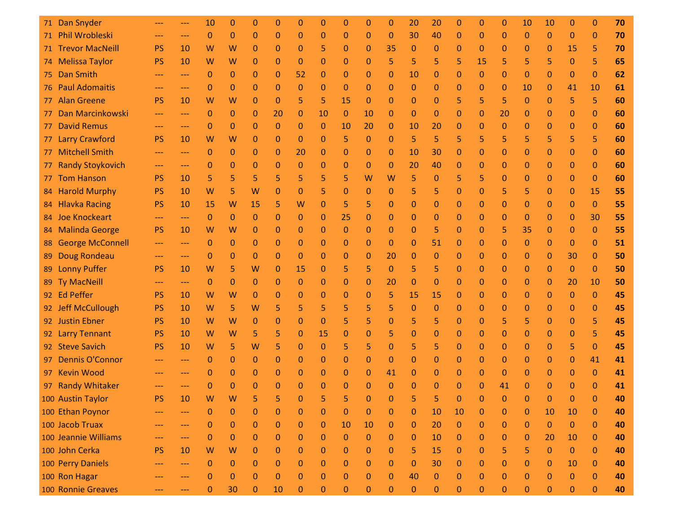| 71 - | Dan Snyder              |           |       | 10           | 0        | 0            | 0            | 0            | 0            | $\Omega$     | 0            | 0            | 20           | 20           | 0                | 0            | 0            | 10           | 10           | 0            | $\mathbf{0}$ | 70 |
|------|-------------------------|-----------|-------|--------------|----------|--------------|--------------|--------------|--------------|--------------|--------------|--------------|--------------|--------------|------------------|--------------|--------------|--------------|--------------|--------------|--------------|----|
| 71.  | Phil Wrobleski          | $---$     | ---   | $\mathbf{0}$ | $\Omega$ | $\Omega$     | 0            | $\Omega$     | 0            | $\mathbf 0$  | $\mathbf{0}$ | $\Omega$     | 30           | 40           | $\Omega$         | 0            | $\mathbf 0$  | $\mathbf{0}$ | $\Omega$     | $\Omega$     | $\mathbf{0}$ | 70 |
| 71.  | <b>Trevor MacNeill</b>  | <b>PS</b> | 10    | W            | W        | $\mathbf{0}$ | $\mathbf{0}$ | $\Omega$     | 5            | 0            | 0            | 35           | $\Omega$     | $\mathbf 0$  | $\Omega$         | 0            | 0            | 0            | 0            | 15           | 5            | 70 |
|      | 74 Melissa Taylor       | <b>PS</b> | 10    | W            | W        | $\mathbf{0}$ | $\mathbf{0}$ | 0            | 0            | 0            | 0            | 5            | 5            | 5            | 5                | 15           | 5            | 5            | 5            | $\Omega$     | 5            | 65 |
| 75.  | <b>Dan Smith</b>        | $---$     | ---   | $\Omega$     | $\Omega$ | $\mathbf{0}$ | $\mathbf{0}$ | 52           | 0            | 0            | 0            | 0            | 10           | $\mathbf 0$  | $\Omega$         | 0            | 0            | $\Omega$     | 0            | $\Omega$     | $\mathbf{0}$ | 62 |
| 76.  | <b>Paul Adomaitis</b>   | ---       | $---$ | 0            | 0        | $\mathbf{0}$ | $\mathbf{0}$ | 0            | 0            | $\mathbf 0$  | 0            | 0            | $\mathbf{0}$ | $\mathbf 0$  | 0                | 0            | 0            | 10           | 0            | 41           | 10           | 61 |
| 77 - | <b>Alan Greene</b>      | <b>PS</b> | 10    | W            | W        | $\mathbf{0}$ | $\mathbf{0}$ | 5            | 5            | 15           | $\mathbf{0}$ | 0            | $\Omega$     | $\Omega$     | 5                | 5            | 5            | $\Omega$     | $\mathbf 0$  | 5            | 5            | 60 |
| 77.  | Dan Marcinkowski        | $---$     | $---$ | 0            | 0        | $\mathbf{0}$ | 20           | 0            | 10           | $\mathbf 0$  | 10           | 0            | $\Omega$     | $\Omega$     | 0                | 0            | 20           | 0            | 0            | $\Omega$     | $\mathbf{0}$ | 60 |
| 77   | <b>David Remus</b>      | $---$     | $---$ | 0            | 0        | $\mathbf{0}$ | $\mathbf{0}$ | 0            | 0            | 10           | 20           | 0            | 10           | 20           | 0                | 0            | 0            | 0            | 0            | $\Omega$     | $\mathbf{0}$ | 60 |
| 77.  | <b>Larry Crawford</b>   | <b>PS</b> | 10    | W            | W        | $\mathbf{0}$ | 0            | 0            | 0            | 5            | $\mathbf{0}$ | 0            | 5            | 5            | 5                | 5.           | 5            | 5            | 5            | 5.           | 5            | 60 |
| 77.  | <b>Mitchell Smith</b>   | $---$     | $---$ | $\mathbf{0}$ | 0        | $\mathbf{0}$ | $\mathbf{0}$ | 20           | 0            | 0            | 0            | $\theta$     | 10           | 30           | 0                | 0            | 0            | 0            | 0            | $\Omega$     | $\mathbf{0}$ | 60 |
| 77.  | <b>Randy Stoykovich</b> | ---       | $---$ | 0            | 0        | 0            | 0            | 0            | 0            | 0            | $\mathbf{0}$ | 0            | 20           | 40           | 0                | 0            | 0            | 0            | 0            | $\Omega$     | $\mathbf{0}$ | 60 |
| 77   | <b>Tom Hanson</b>       | <b>PS</b> | 10    | 5            | 5        | 5            | 5            | 5            | 5            | 5            | W            | W            | 5            | $\Omega$     | 5                | 5            | 0            | 0            | 0            | $\Omega$     | $\mathbf{0}$ | 60 |
| 84   | <b>Harold Murphy</b>    | <b>PS</b> | 10    | W            | 5        | W            | $\mathbf{0}$ | $\Omega$     | 5            | 0            | $\Omega$     | 0            | 5            | 5            | 0                | 0            | 5            | 5            | 0            | $\Omega$     | 15           | 55 |
|      | 84 Hlavka Racing        | <b>PS</b> | 10    | 15           | W        | 15           | 5            | W            | 0            | 5            | 5            | 0            | $\Omega$     | $\Omega$     | 0                | 0            | 0            | 0            | 0            | $\Omega$     | $\Omega$     | 55 |
| 84   | <b>Joe Knockeart</b>    | ---       | ---   | $\Omega$     | $\Omega$ | $\mathbf{0}$ | $\mathbf{0}$ | 0            | 0            | 25           | 0            | 0            | $\Omega$     | $\Omega$     | 0                | 0            | 0            | $\Omega$     | 0            | $\Omega$     | 30           | 55 |
| 84   | <b>Malinda George</b>   | <b>PS</b> | 10    | W            | W        | $\mathbf{0}$ | $\mathbf{0}$ | 0            | 0            | $\mathbf 0$  | 0            | $\mathbf 0$  | $\Omega$     | 5            | 0                | 0            | 5            | 35           | 0            | $\Omega$     | $\mathbf{0}$ | 55 |
| 88   | <b>George McConnell</b> | ---       | $---$ | $\mathbf{0}$ | 0        | $\mathbf{0}$ | $\mathbf{0}$ | 0            | 0            | 0            | $\mathbf{0}$ | 0            | $\Omega$     | 51           | $\Omega$         | 0            | 0            | 0            | $\mathbf{0}$ | $\Omega$     | $\mathbf{0}$ | 51 |
| 89   | Doug Rondeau            | ---       | $---$ | 0            | 0        | $\mathbf{0}$ | $\mathbf{0}$ | 0            | 0            | 0            | 0            | 20           | $\Omega$     | $\mathbf 0$  | 0                | 0            | 0            | 0            | 0            | 30           | $\mathbf{0}$ | 50 |
| 89   | <b>Lonny Puffer</b>     | <b>PS</b> | 10    | W            | 5        | W            | $\mathbf{0}$ | 15           | 0            | 5            | 5            | $\Omega$     | 5            | 5            | 0                | 0            | 0            | 0            | 0            | $\Omega$     | $\mathbf{0}$ | 50 |
| 89   | <b>Ty MacNeill</b>      | $---$     | $---$ | 0            | 0        | $\mathbf 0$  | 0            | 0            | 0            | 0            | 0            | 20           | $\Omega$     | $\mathbf 0$  | 0                | 0            | 0            | 0            | 0            | 20           | 10           | 50 |
| 92   | <b>Ed Peffer</b>        | <b>PS</b> | 10    | W            | W        | $\mathbf{0}$ | 0            | 0            | 0            | 0            | $\mathbf{0}$ | 5            | 15           | 15           | 0                | 0            | 0            | 0            | 0            | $\Omega$     | $\mathbf{0}$ | 45 |
|      | 92 Jeff McCullough      | <b>PS</b> | 10    | W            | 5        | W            | 5            | 5            | 5            | 5            | 5            | 5            | $\Omega$     | $\mathbf 0$  | 0                | 0            | 0            | 0            | 0            | $\Omega$     | 0            | 45 |
|      | 92 Justin Ebner         | <b>PS</b> | 10    | W            | W        | $\mathbf{0}$ | 0            | $\Omega$     | 0            | 5            | 5            | $\Omega$     | 5            | 5            | $\Omega$         | 0            | 5            | 5            | 0            | $\Omega$     | 5            | 45 |
| 92 - | <b>Larry Tennant</b>    | <b>PS</b> | 10    | W            | W        | 5            | 5            | 0            | 15           | 0            | 0            | 5            | $\Omega$     | $\Omega$     | 0                | 0            | 0            | 0            | 0            | $\Omega$     | 5            | 45 |
|      | 92 Steve Savich         | <b>PS</b> | 10    | W            | 5        | W            | 5            | $\Omega$     | $\Omega$     | 5            | 5            | $\Omega$     | 5            | 5            | $\Omega$         | 0            | 0            | $\Omega$     | $\Omega$     | 5            | $\mathbf{0}$ | 45 |
| 97   | <b>Dennis O'Connor</b>  | $---$     | ---   | $\Omega$     | 0        | $\mathbf{0}$ | $\Omega$     | 0            | 0            | 0            | 0            | 0            | $\Omega$     | $\Omega$     | $\Omega$         | 0            | 0            | $\Omega$     | 0            | $\Omega$     | 41           | 41 |
| 97   | <b>Kevin Wood</b>       | $---$     | $---$ | $\Omega$     | 0        | $\mathbf{0}$ | $\mathbf{0}$ | $\Omega$     | 0            | 0            | 0            | 41           | $\Omega$     | $\mathbf{0}$ | $\Omega$         | 0            | 0            | 0            | 0            | $\Omega$     | $\mathbf{0}$ | 41 |
|      | 97 Randy Whitaker       |           | ---   | $\Omega$     | $\Omega$ | $\Omega$     | 0            | 0            | 0            | 0            | 0            | $\Omega$     | O            | $\Omega$     | O                | 0            | 41           | 0            | O            |              | 0            | 41 |
|      | 100 Austin Taylor       | <b>PS</b> | 10    | ${\sf W}$    | W        |              |              | $\Omega$     |              |              |              |              |              |              | $\mathbf{0}$     | $\mathbf{0}$ | $\mathbf{0}$ | $\mathbf{0}$ | $\mathbf{0}$ |              | $\mathbf{0}$ | 40 |
|      | 100 Ethan Poynor        |           | ---   | 0            | 0        | $\mathbf{0}$ | 0            | 0            | 0            | $\mathbf{0}$ | $\mathbf{0}$ | 0            | $\mathbf{0}$ | 10           | 10               | 0            | 0            | 0            | 10           | 10           | $\mathbf 0$  | 40 |
|      | 100 Jacob Truax         | $---$     | $---$ | 0            | 0        | $\mathbf{0}$ | $\mathbf 0$  | $\mathbf{0}$ | $\mathbf{0}$ | 10           | 10           | $\mathbf 0$  | $\mathbf{0}$ | 20           | $\mathbf{0}$     | 0            | $\mathbf 0$  | 0            | $\mathbf{0}$ | $\mathbf{0}$ | $\mathbf{0}$ | 40 |
|      | 100 Jeannie Williams    | ---       | ---   | 0            | 0        | $\mathbf{0}$ | $\mathbf{0}$ | 0            | 0            | $\mathbf 0$  | $\mathbf{0}$ | $\mathbf{0}$ | $\mathbf{0}$ | 10           | $\mathbf{0}$     | 0            | $\mathbf 0$  | $\mathbf 0$  | 20           | 10           | $\mathbf{0}$ | 40 |
|      | 100 John Cerka          | <b>PS</b> | 10    | W            | W        | $\mathbf 0$  | 0            | 0            | 0            | $\mathbf 0$  | 0            | 0            | 5            | 15           | 0                | 0            | 5            | 5            | $\mathbf 0$  | 0            | $\bf 0$      | 40 |
|      | 100 Perry Daniels       | $---$     | ---   | $\mathbf 0$  | $\bf 0$  | $\mathbf{0}$ | $\pmb{0}$    | $\mathbf{0}$ | 0            | $\mathbf 0$  | $\mathbf{0}$ | $\mathbf{0}$ | $\Omega$     | 30           | $\mathbf{0}$     | 0            | $\mathbf 0$  | 0            | $\mathbf 0$  | 10           | $\mathbf 0$  | 40 |
|      | 100 Ron Hagar           |           | ---   | 0            | 0        | $\mathbf{0}$ | 0            | 0            | 0            | $\mathbf 0$  | 0            | 0            | 40           | $\bf{0}$     | $\Omega$         | 0            | 0            | 0            | 0            | $\mathbf{0}$ | $\mathbf 0$  | 40 |
|      | 100 Ronnie Greaves      |           | ---   | $\mathbf{0}$ | 30       | $\mathbf{0}$ | 10           | 0            | $\pmb{0}$    | $\pmb{0}$    | $\pmb{0}$    | $\pmb{0}$    | $\mathbf 0$  | $\pmb{0}$    | $\boldsymbol{0}$ | $\pmb{0}$    | $\pmb{0}$    | $\mathbf 0$  | $\mathbf 0$  | $\bf 0$      | $\bf 0$      | 40 |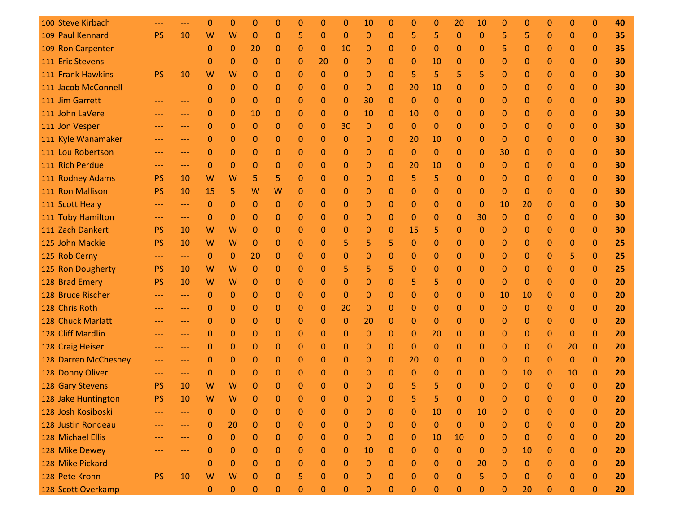| 100 Steve Kirbach    |                     |                     | O        | 0            | 0            | 0            |              | 0            | O            | 10           | O            | 0            | 0            | 20           | 10           |              |              | 0            | 0        | 0              | 40 |
|----------------------|---------------------|---------------------|----------|--------------|--------------|--------------|--------------|--------------|--------------|--------------|--------------|--------------|--------------|--------------|--------------|--------------|--------------|--------------|----------|----------------|----|
| 109 Paul Kennard     | <b>PS</b>           | 10                  | W        | W            | $\Omega$     | $\Omega$     | 5            | $\mathbf{0}$ | $\mathbf{0}$ | $\mathbf{0}$ | 0            | 5            | 5            | $\Omega$     | 0            | 5            | 5            | $\Omega$     | $\Omega$ | $\Omega$       | 35 |
| 109 Ron Carpenter    | $---$               | ---                 | 0        | $\mathbf 0$  | 20           | 0            | 0            | 0            | 10           | 0            | 0            | $\Omega$     | $\mathbf{0}$ | 0            | 0            | 5            | 0            | 0            | 0        | $\mathbf 0$    | 35 |
| 111 Eric Stevens     | $---$               | $---$               | 0        | 0            | $\Omega$     | $\Omega$     | 0            | 20           | $\mathbf 0$  | 0            | 0            | $\Omega$     | 10           | $\mathbf 0$  | 0            | 0            | 0            | 0            | $\Omega$ | $\mathbf 0$    | 30 |
| 111 Frank Hawkins    | <b>PS</b>           | 10                  | W        | W            | $\Omega$     | $\Omega$     | 0            | $\Omega$     | $\mathbf{0}$ | 0            | $\mathbf{0}$ | 5            | 5            | 5            | 5            | 0            | $\Omega$     | 0            | 0        | $\mathbf{0}$   | 30 |
| 111 Jacob McConnell  | $\qquad \qquad - -$ | $\qquad \qquad - -$ | $\Omega$ | 0            | $\Omega$     | $\mathbf 0$  | 0            | 0            | $\mathbf 0$  | 0            | 0            | 20           | 10           | $\Omega$     | 0            | 0            | 0            | 0            | $\Omega$ | $\mathbf 0$    | 30 |
| 111 Jim Garrett      | $---$               | $---$               | 0        | 0            | $\Omega$     | $\Omega$     | 0            | 0            | $\mathbf 0$  | 30           | 0            | $\mathbf{0}$ | $\mathbf{0}$ | $\Omega$     | 0            | 0            | $\Omega$     | 0            | 0        | $\mathbf 0$    | 30 |
| 111 John LaVere      |                     | $---$               | 0        | 0            | 10           | $\mathbf 0$  | 0            | 0            | $\mathbf 0$  | 10           | 0            | 10           | $\mathbf 0$  | 0            | 0            | 0            | 0            | 0            | 0        | $\Omega$       | 30 |
| 111 Jon Vesper       |                     | ---                 | 0        | 0            | $\Omega$     | $\Omega$     | $\mathbf{0}$ | $\mathbf{0}$ | 30           | $\mathbf{0}$ | $\mathbf{0}$ | $\mathbf{0}$ | $\mathbf{0}$ | $\Omega$     | 0            | $\mathbf{0}$ | $\Omega$     | 0            | 0        | $\mathbf{0}$   | 30 |
| 111 Kyle Wanamaker   | $---$               | $---$               | 0        | 0            | 0            | 0            | 0            | 0            | $\mathbf 0$  | 0            | 0            | 20           | 10           | 0            | 0            | 0            | 0            | 0            | 0        | 0              | 30 |
| 111 Lou Robertson    | $\qquad \qquad -$   | $---$               | 0        | 0            | $\mathbf{0}$ | $\Omega$     | 0            | 0            | $\mathbf{0}$ | 0            | 0            | $\mathbf{0}$ | $\mathbf{0}$ | $\Omega$     | 0            | 30           | $\Omega$     | 0            | 0        | $\mathbf{0}$   | 30 |
| 111 Rich Perdue      | $\qquad \qquad -$   | ---                 | 0        | 0            | 0            | $\mathbf{0}$ | 0            | 0            | 0            | 0            | 0            | 20           | 10           | 0            | 0            | $\mathbf{0}$ | 0            | 0            | 0        | $\mathbf{0}$   | 30 |
| 111 Rodney Adams     | <b>PS</b>           | 10                  | W        | W            | 5            | 5            | 0            | 0            | 0            | 0            | $\mathbf{0}$ | 5            | 5            | $\Omega$     | 0            | $\mathbf{0}$ | $\Omega$     | 0            | 0        | $\mathbf{0}$   | 30 |
| 111 Ron Mallison     | <b>PS</b>           | 10                  | 15       | 5            | W            | W            | 0            | 0            | 0            | 0            | 0            | 0            | 0            | 0            | 0            | 0            | $\Omega$     | 0            | 0        | $\mathbf 0$    | 30 |
| 111 Scott Healy      | $\qquad \qquad -$   | $---$               | $\Omega$ | 0            | $\Omega$     | $\Omega$     | 0            | 0            | 0            | 0            | 0            | 0            | $\mathbf{0}$ | $\Omega$     | $\Omega$     | 10           | 20           | 0            | 0        | $\mathbf{0}$   | 30 |
| 111 Toby Hamilton    | ---                 | $---$               | 0        | 0            | $\mathbf{0}$ | $\mathbf{0}$ | 0            | 0            | 0            | 0            | 0            | $\Omega$     | $\Omega$     | $\Omega$     | 30           | 0            | $\mathbf{0}$ | 0            | 0        | $\mathbf 0$    | 30 |
| 111 Zach Dankert     | <b>PS</b>           | 10                  | W        | W            | $\Omega$     | $\Omega$     | 0            | $\Omega$     | 0            | 0            | 0            | 15           | 5            | $\Omega$     | 0            | $\Omega$     | $\mathbf{0}$ | 0            | $\Omega$ | $\Omega$       | 30 |
| 125 John Mackie      | <b>PS</b>           | 10                  | W        | W            | $\Omega$     | $\Omega$     | 0            | 0            | 5            | 5            | 5            | $\mathbf{0}$ | $\mathbf{0}$ | $\Omega$     | 0            | 0            | $\Omega$     | 0            | 0        | $\mathbf{0}$   | 25 |
| 125 Rob Cerny        | $\qquad \qquad -$   | $\qquad \qquad - -$ | $\Omega$ | $\mathbf{0}$ | 20           | $\mathbf 0$  | 0            | $\Omega$     | 0            | 0            | 0            | $\Omega$     | $\Omega$     | $\Omega$     | 0            | 0            | 0            | 0            | 5.       | $\mathbf 0$    | 25 |
| 125 Ron Dougherty    | <b>PS</b>           | 10                  | W        | W            | $\Omega$     | $\Omega$     | 0            | $\Omega$     | 5            | 5            | 5            | $\Omega$     | $\Omega$     | $\Omega$     | 0            | $\mathbf{0}$ | $\Omega$     | $\Omega$     | $\Omega$ | $\mathbf 0$    | 25 |
| 128 Brad Emery       | <b>PS</b>           | 10                  | W        | W            | 0            | $\mathbf 0$  | 0            | 0            | $\mathbf{0}$ | 0            | 0            | 5            | 5            | $\Omega$     | 0            | $\mathbf 0$  | $\Omega$     | 0            | $\Omega$ | $\mathbf 0$    | 20 |
| 128 Bruce Rischer    |                     | $---$               | 0        | 0            | $\mathbf{0}$ | $\Omega$     | 0            | 0            | $\mathbf 0$  | 0            | 0            | $\Omega$     | $\Omega$     | 0            | 0            | 10           | 10           | $\mathbf{0}$ | 0        | $\mathbf{0}$   | 20 |
| 128 Chris Roth       |                     | ---                 | 0        | 0            | $\mathbf{0}$ | 0            | 0            | 0            | 20           | 0            | 0            | 0            | $\Omega$     | $\Omega$     | 0            | 0            | $\mathbf{0}$ | 0            | 0        | $\mathbf{0}$   | 20 |
| 128 Chuck Marlatt    | $\qquad \qquad -$   | ---                 | 0        | 0            | $\Omega$     | $\Omega$     | 0            | 0            | $\mathbf{0}$ | 20           | 0            | $\Omega$     | $\mathbf{0}$ | $\Omega$     | 0            | $\mathbf{0}$ | $\Omega$     | $\Omega$     | 0        | $\mathbf{0}$   | 20 |
| 128 Cliff Mardlin    | $---$               | ---                 | 0        | 0            | 0            | $\mathbf{0}$ | 0            | 0            | 0            | 0            | 0            | 0            | 20           | 0            | 0            | 0            | 0            | 0            | 0        | $\mathbf 0$    | 20 |
| 128 Craig Heiser     | $---$               | $---$               | 0        | 0            | $\Omega$     | $\Omega$     | 0            | 0            | $\mathbf 0$  | 0            | $\mathbf{0}$ | $\Omega$     | $\mathbf{0}$ | $\Omega$     | 0            | $\Omega$     | $\Omega$     | 0            | 20       | $\mathbf 0$    | 20 |
| 128 Darren McChesney | ---                 | $---$               | 0        | 0            | 0            | $\mathbf{0}$ | 0            | 0            | 0            | 0            | 0            | 20           | 0            | 0            | 0            | $\mathbf{0}$ | $\Omega$     | 0            | 0        | $\mathbf{0}$   | 20 |
| 128 Donny Oliver     |                     | $---$               | 0        | 0            | $\Omega$     | $\mathbf 0$  | 0            | 0            | 0            | 0            | 0            | $\mathbf{0}$ | $\mathbf{0}$ | $\Omega$     | 0            | $\mathbf{0}$ | 10           | 0            | 10       | $\mathbf{0}$   | 20 |
| 128 Gary Stevens     | <b>PS</b>           | 10                  | W        | W            | $\Omega$     | $\Omega$     | O            | 0            | O            | $\Omega$     | 0            |              | 5            | O            | 0            | o            | $\Omega$     | 0            | 0        | 0              | 20 |
| 128 Jake Huntington  | <b>PS</b>           | 10                  | W        | W            |              |              |              | $\mathbf{0}$ |              |              |              |              |              |              | $\mathbf{0}$ |              |              |              | 0        | $\overline{0}$ | 20 |
| 128 Josh Kosiboski   |                     |                     | 0        | $\mathbf{0}$ | 0            | 0            | 0            | 0            | 0            | 0            | 0            | $\mathbf{0}$ | 10           | $\mathbf{0}$ | 10           | 0            | 0            | $\mathbf 0$  | 0        | $\mathbf{0}$   | 20 |
| 128 Justin Rondeau   | $---$               | $---$               | 0        | 20           | $\mathbf{0}$ | $\mathbf{0}$ | $\mathbf{0}$ | $\mathbf{0}$ | $\mathbf{0}$ | 0            | $\mathbf{0}$ | $\mathbf{0}$ | $\mathbf{0}$ | $\mathbf{0}$ | 0            | $\mathbf 0$  | 0            | $\mathbf{0}$ | 0        | $\mathbf{0}$   | 20 |
| 128 Michael Ellis    | ---                 | ---                 | 0        | $\mathbf 0$  | $\Omega$     | $\mathbf{0}$ | 0            | 0            | $\mathbf{0}$ | 0            | 0            | $\mathbf{0}$ | 10           | 10           | 0            | $\mathbf 0$  | $\mathbf{0}$ | $\mathbf 0$  | 0        | $\mathbf{0}$   | 20 |
| 128 Mike Dewey       |                     | ---                 | 0        | 0            | 0            | $\bf{0}$     | 0            | 0            | $\mathbf 0$  | 10           | 0            | 0            | $\mathbf{0}$ | $\mathbf{0}$ | 0            | 0            | 10           | 0            | 0        | $\mathbf{0}$   | 20 |
| 128 Mike Pickard     | ---                 | $---$               | 0        | $\mathbf 0$  | 0            | $\mathbf 0$  | 0            | 0            | $\mathbf 0$  | 0            | 0            | $\mathbf{0}$ | $\mathbf 0$  | 0            | 20           | 0            | $\mathbf 0$  | 0            | 0        | $\mathbf{0}$   | 20 |
| 128 Pete Krohn       | <b>PS</b>           | 10                  | W        | W            | $\Omega$     | $\mathbf{0}$ | 5            | $\mathbf{0}$ | $\mathbf 0$  | 0            | 0            | $\Omega$     | $\mathbf{0}$ | $\Omega$     | 5            | $\Omega$     | $\mathbf{0}$ | $\mathbf 0$  | 0        | $\mathbf{0}$   | 20 |
| 128 Scott Overkamp   | ---                 | $---$               | 0        | $\mathbf 0$  | 0            | $\mathbf 0$  | 0            | 0            | 0            | $\bf{0}$     | 0            | $\mathbf{0}$ | $\mathbf 0$  | 0            | 0            | $\mathbf{0}$ | 20           | 0            | 0        | $\mathbf{0}$   | 20 |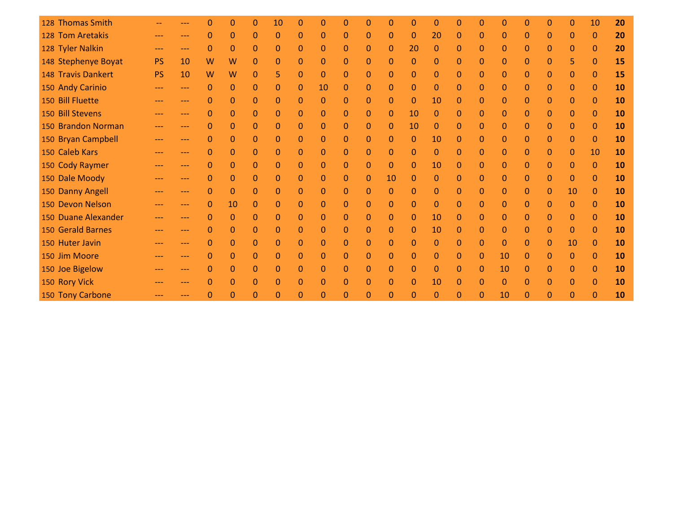| 128 Thomas Smith    |           |       |          | 0              | 0            | 10             |              |              |              | O              | 0            | O            | O            |              |                |              | O              | 0            | $\Omega$       | 10           | 20        |
|---------------------|-----------|-------|----------|----------------|--------------|----------------|--------------|--------------|--------------|----------------|--------------|--------------|--------------|--------------|----------------|--------------|----------------|--------------|----------------|--------------|-----------|
| 128 Tom Aretakis    | ---       | $---$ | $\Omega$ | $\Omega$       | $\mathbf{0}$ | $\Omega$       | $\Omega$     | $\Omega$     | $\mathbf{0}$ | $\Omega$       | $\Omega$     | $\Omega$     | 20           | 0            | $\Omega$       | $\Omega$     | $\Omega$       | $\Omega$     | $\Omega$       | $\Omega$     | 20        |
| 128 Tyler Nalkin    | ---       | $---$ | 0        | $\Omega$       | $\mathbf{0}$ | $\mathbf{0}$   | 0            | $\mathbf 0$  | $\mathbf 0$  | $\mathbf{0}$   | 0            | 20           | 0            | 0            | $\mathbf{0}$   | 0            | $\mathbf{0}$   | 0            | $\mathbf{0}$   | $\mathbf{0}$ | 20        |
| 148 Stephenye Boyat | <b>PS</b> | 10    | W        | W              | $\Omega$     | $\Omega$       | $\Omega$     | $\Omega$     | $\mathbf{0}$ | $\Omega$       | $\Omega$     | $\Omega$     | 0            | 0            | $\mathbf{0}$   | $\Omega$     | $\mathbf{0}$   | $\Omega$     | 5              | $\Omega$     | 15        |
| 148 Travis Dankert  | <b>PS</b> | 10    | W        | W              | $\mathbf{0}$ | 5              | $\mathbf{0}$ | $\mathbf{0}$ | $\mathbf{0}$ | $\mathbf{0}$   | $\mathbf{0}$ | $\mathbf{0}$ | 0            | $\Omega$     | $\mathbf{0}$   | $\mathbf{0}$ | $\mathbf{0}$   | 0            | $\Omega$       | $\mathbf{0}$ | 15        |
| 150 Andy Carinio    | $---$     | ---   | $\Omega$ | $\mathbf{0}$   | $\mathbf{0}$ | $\mathbf{0}$   | $\mathbf{0}$ | 10           | $\mathbf{0}$ | $\mathbf{0}$   | $\mathbf{0}$ | $\mathbf{0}$ | 0            | 0            | $\mathbf{0}$   | $\mathbf 0$  | $\mathbf{0}$   | 0            | $\mathbf{0}$   | $\mathbf{0}$ | 10        |
| 150 Bill Fluette    |           | ---   | $\Omega$ | $\Omega$       | $\Omega$     | $\Omega$       | $\Omega$     | $\mathbf{0}$ | $\mathbf{0}$ | $\Omega$       | $\mathbf{0}$ | $\mathbf{0}$ | 10           | 0            | $\Omega$       | $\Omega$     | $\Omega$       | $\Omega$     | $\Omega$       | $\Omega$     | 10        |
| 150 Bill Stevens    |           | ---   | 0        | $\Omega$       | $\Omega$     | 0              | $\Omega$     | $\mathbf{0}$ | $\mathbf{0}$ | $\mathbf{0}$   | $\mathbf{0}$ | 10           | 0            | 0            | $\mathbf{0}$   | $\Omega$     | $\mathbf{0}$   | $\Omega$     | $\Omega$       | $\Omega$     | 10        |
| 150 Brandon Norman  | ---       | $---$ | $\Omega$ | $\mathbf{0}$   | $\mathbf 0$  | $\mathbf{0}$   | $\Omega$     | $\mathbf{0}$ | $\mathbf{0}$ | $\mathbf{0}$   | $\mathbf{0}$ | 10           | 0            | 0            | $\mathbf{0}$   | $\mathbf 0$  | $\mathbf{0}$   | 0            | $\Omega$       | $\mathbf{0}$ | 10        |
| 150 Bryan Campbell  |           | ---   | 0        | $\mathbf{0}$   | $\mathbf{0}$ | $\mathbf{0}$   | $\Omega$     | $\mathbf{0}$ | $\mathbf{0}$ | $\mathbf{0}$   | $\mathbf{0}$ | $\mathbf{0}$ | 10           | $\Omega$     | $\mathbf{0}$   | $\mathbf{0}$ | $\Omega$       | $\mathbf{0}$ | $\mathbf{0}$   | $\mathbf{0}$ | <b>10</b> |
| 150 Caleb Kars      |           | ---   | $\Omega$ | $\mathbf{0}$   | $\Omega$     | $\mathbf{0}$   | $\Omega$     | $\mathbf{0}$ | $\mathbf{0}$ | 0              | $\mathbf{0}$ | $\Omega$     | 0            | $\Omega$     | $\mathbf{0}$   | $\Omega$     | $\bf 0$        | $\Omega$     | $\Omega$       | 10           | <b>10</b> |
| 150 Cody Raymer     |           | $---$ | $\Omega$ | $\Omega$       | $\mathbf{0}$ | $\overline{0}$ | $\Omega$     | $\mathbf{0}$ | $\mathbf{0}$ | $\overline{0}$ | $\Omega$     | $\mathbf{0}$ | 10           | $\Omega$     | $\overline{0}$ | $\Omega$     | $\overline{0}$ | $\Omega$     | $\overline{0}$ | $\mathbf{0}$ | 10        |
| 150 Dale Moody      | ---       | ---   | 0        | $\Omega$       | $\mathbf{0}$ | $\mathbf{0}$   | $\mathbf{0}$ | $\mathbf{0}$ | $\mathbf{0}$ | $\mathbf{0}$   | 10           | $\Omega$     | 0            | 0            | $\mathbf{0}$   | $\mathbf 0$  | $\mathbf{0}$   | $\Omega$     | $\Omega$       | $\mathbf{0}$ | 10        |
| 150 Danny Angell    | ---       | $---$ | $\Omega$ | $\mathbf{0}$   | $\Omega$     | $\mathbf{0}$   | $\Omega$     | 0            | $\mathbf{0}$ | 0              | $\mathbf{0}$ | $\Omega$     | 0            | $\Omega$     | $\mathbf{0}$   | $\mathbf{0}$ | $\mathbf{0}$   | $\mathbf{0}$ | 10             | $\mathbf{0}$ | 10        |
| 150 Devon Nelson    |           | $---$ | 0        | 10             | $\mathbf{0}$ | $\mathbf{0}$   | $\Omega$     | $\mathbf{0}$ | $\Omega$     | $\Omega$       | $\mathbf{0}$ | $\Omega$     | 0            | $\Omega$     | $\mathbf{0}$   | $\Omega$     | $\Omega$       | $\Omega$     | $\Omega$       | $\Omega$     | <b>10</b> |
| 150 Duane Alexander | ---       | $---$ | $\Omega$ | $\Omega$       | $\Omega$     | $\mathbf{0}$   | $\Omega$     | $\mathbf{0}$ | $\mathbf 0$  | $\mathbf 0$    | $\mathbf{0}$ | $\Omega$     | 10           | 0            | $\mathbf{0}$   | $\mathbf 0$  | $\mathbf{0}$   | $\Omega$     | $\Omega$       | $\Omega$     | 10        |
| 150 Gerald Barnes   |           | ---   | $\Omega$ | $\Omega$       | $\Omega$     | $\overline{0}$ | $\Omega$     | $\Omega$     | $\Omega$     | $\Omega$       | $\Omega$     | $\Omega$     | 10           | $\Omega$     | $\mathbf{0}$   | $\Omega$     | $\Omega$       | $\Omega$     | $\Omega$       | $\Omega$     | 10        |
| 150 Huter Javin     | ---       | $---$ | 0        | $\mathbf{0}$   | $\mathbf{0}$ | $\mathbf{0}$   | $\Omega$     | $\mathbf{0}$ | $\Omega$     | $\mathbf{0}$   | $\mathbf{0}$ | $\Omega$     | 0            | 0            | $\mathbf{0}$   | $\mathbf{0}$ | $\mathbf{0}$   | $\Omega$     | 10             | $\Omega$     | <b>10</b> |
| 150 Jim Moore       |           | $---$ | $\Omega$ | $\mathbf{0}$   | $\mathbf 0$  | $\mathbf{0}$   | $\Omega$     | $\mathbf{0}$ | $\mathbf{0}$ | $\mathbf 0$    | $\mathbf{0}$ | $\mathbf{0}$ | 0            | $\mathbf{0}$ | $\mathbf{0}$   | 10           | $\mathbf{0}$   | 0            | $\Omega$       | $\Omega$     | 10        |
| 150 Joe Bigelow     |           | ---   | $\Omega$ | $\Omega$       | $\mathbf{0}$ | $\mathbf{0}$   | $\Omega$     | $\Omega$     | $\mathbf{0}$ | $\mathbf{0}$   | $\Omega$     | $\Omega$     | 0            | $\Omega$     | $\Omega$       | 10           | $\Omega$       | $\Omega$     | $\Omega$       | $\Omega$     | 10        |
| 150 Rory Vick       |           | ---   | 0        | $\Omega$       | $\Omega$     | 0              | 0            | 0            | 0            | $\mathbf{0}$   | 0            | $\Omega$     | 10           | 0            | $\mathbf{0}$   | 0            | $\mathbf{0}$   | 0            | $\Omega$       | $\Omega$     | 10        |
| 150 Tony Carbone    |           | $---$ | $\Omega$ | $\overline{0}$ | $\Omega$     | $\overline{0}$ | $\Omega$     | $\Omega$     | $\Omega$     | $\Omega$       | $\Omega$     | $\Omega$     | $\mathbf{0}$ | 0            | $\Omega$       | 10           | $\Omega$       | $\Omega$     | $\Omega$       | $\Omega$     | 10        |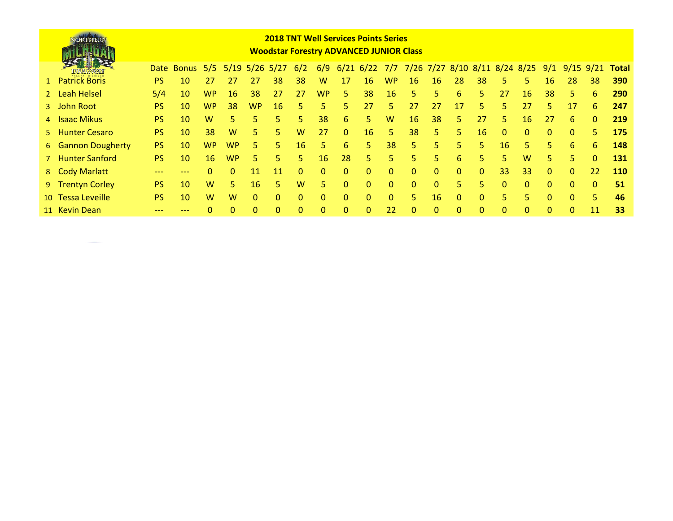| NORTHERN           |                                                                                                                                   |            |           |                      |    |    |          |              |          | <b>2018 TNT Well Services Points Series</b><br><b>Woodstar Forestry ADVANCED JUNIOR Class</b> |           |          |          |    |          |          |          |              |             |                |              |
|--------------------|-----------------------------------------------------------------------------------------------------------------------------------|------------|-----------|----------------------|----|----|----------|--------------|----------|-----------------------------------------------------------------------------------------------|-----------|----------|----------|----|----------|----------|----------|--------------|-------------|----------------|--------------|
|                    |                                                                                                                                   | Date Bonus | 5/5       | $5/19$ $5/26$ $5/27$ |    |    | 6/2      | 6/9          |          | 6/21 6/22 7/7 7/26 7/27 8/10 8/11 8/24 8/25                                                   |           |          |          |    |          |          |          | 9/1          | $9/15$ 9/21 |                | <b>Total</b> |
| 1 Patrick Boris    | <b>PS</b>                                                                                                                         | 10         | 27        | 27                   | 27 | 38 | 38       | W            | 17       | 16                                                                                            | <b>WP</b> | 16       | 16       | 28 | 38       | 5.       | 5.       | 16           | 28          | 38             | 390          |
| 2 Leah Helsel      | 5/4                                                                                                                               | 10         | <b>WP</b> | 16                   | 38 | 27 | 27       | <b>WP</b>    | 5.       | 38                                                                                            | 16        | 5.       | 5.       | 6  | 5.       | 27       | 16       | 38           | 5.          | 6              | 290          |
| 3 John Root        | 27<br>27<br>5.<br><b>PS</b><br>10<br><b>WP</b><br>38<br>16<br>5<br>5<br>27<br>5.<br>17<br><b>WP</b><br>5.<br>27<br>17<br>5.<br>5. |            |           |                      |    |    |          |              |          |                                                                                               |           |          |          |    |          | 6        | 247      |              |             |                |              |
| 4 Isaac Mikus      | <b>PS</b>                                                                                                                         | 10         | W         | 5.                   | 5. | 5. | 5.       | 38           | 6        | 5.                                                                                            | w         | 16       | 38       | 5. | 27       | 5.       | 16       | 27           | 6           | $\mathbf{0}$   | 219          |
| 5 Hunter Cesaro    | <b>PS</b>                                                                                                                         | 10         | 38        | W                    | 5. | 5. | W        | 27           | $\Omega$ | 16                                                                                            | 5.        | 38       | 5.       | 5. | 16       | $\Omega$ | $\Omega$ | $\Omega$     | $\Omega$    | $\overline{5}$ | 175          |
| 6 Gannon Dougherty | <b>PS</b>                                                                                                                         | 10         | WP.       | WP                   | 5. | 5. | 16       | 5.           | 6        | 5                                                                                             | 38        | 5.       | 5.       | 5. | 5.       | 16       | 5.       | 5.           | 6           | 6              | 148          |
| 7 Hunter Sanford   | <b>PS</b>                                                                                                                         | 10         | 16        | <b>WP</b>            | 5. | 5. | 5.       | 16           | 28       | 5.                                                                                            | 5.        | 5        | 5.       | 6  | 5.       | 5.       | W        | 5.           | 5.          | $\Omega$       | 131          |
| 8 Cody Marlatt     | $- - -$                                                                                                                           | ---        |           | $\Omega$             | 11 | 11 | $\Omega$ | $\Omega$     | $\Omega$ | $\Omega$                                                                                      | $\Omega$  | $\Omega$ | $\Omega$ | 0  | $\Omega$ | 33       | 33       | $\Omega$     | $\Omega$    | 22             | 110          |
| 9 Trentyn Corley   | <b>PS</b>                                                                                                                         | 10         | W         | 5                    | 16 | 5. | W        | 5.           | $\Omega$ | $\Omega$                                                                                      | $\Omega$  | $\Omega$ | $\Omega$ | 5. | 5.       | $\Omega$ | $\Omega$ | $\mathbf{0}$ | $\Omega$    | $\Omega$       | 51           |
| 10 Tessa Leveille  | <b>PS</b>                                                                                                                         | 10         | W         | W                    | 0  | 0  | $\Omega$ | $\Omega$     | $\Omega$ | $\Omega$                                                                                      | $\Omega$  | 5        | 16       | 0  | 0        | 5        | 5.       | $\Omega$     | $\Omega$    | 5              | 46           |
| 11 Kevin Dean      |                                                                                                                                   |            |           | $\Omega$             | 0  | 0  | $\Omega$ | $\mathbf{0}$ | $\Omega$ | $\Omega$                                                                                      | 22        | $\Omega$ | 0        | O  | $\Omega$ | $\Omega$ | $\Omega$ | $\Omega$     | $\Omega$    | 11             | 33           |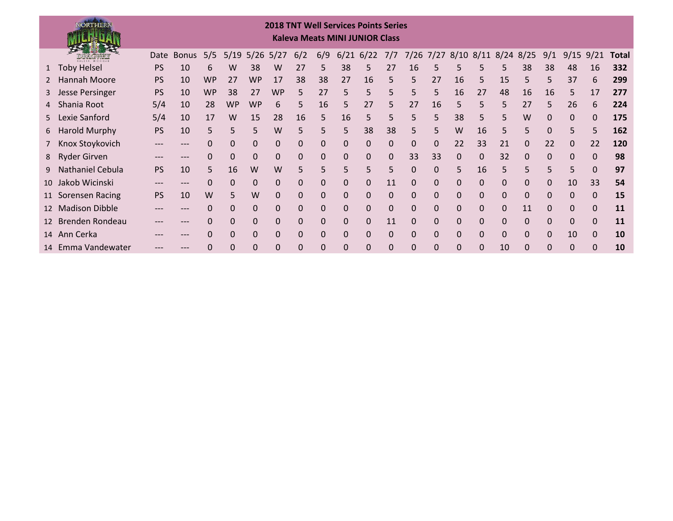|    | NORTHERN            |           |              |           |              |                      |           |          |              |             | <b>2018 TNT Well Services Points Series</b><br><b>Kaleva Meats MINI JUNIOR Class</b> |              |          |          |    |          |              |                               |              |             |              |              |
|----|---------------------|-----------|--------------|-----------|--------------|----------------------|-----------|----------|--------------|-------------|--------------------------------------------------------------------------------------|--------------|----------|----------|----|----------|--------------|-------------------------------|--------------|-------------|--------------|--------------|
|    |                     | Date      | <b>Bonus</b> | 5/5       |              | $5/19$ $5/26$ $5/27$ |           | 6/2      | 6/9          |             | $6/21$ 6/22                                                                          | 7/7          |          |          |    |          |              | 7/26 7/27 8/10 8/11 8/24 8/25 | 9/1          | $9/15$ 9/21 |              | <b>Total</b> |
| 1  | <b>Toby Helsel</b>  | PS        | 10           | 6         | W            | 38                   | W         | 27       | 5            | 38          | 5                                                                                    | 27           | 16       | 5        | 5  | 5        | Ь            | 38                            | 38           | 48          | 16           | 332          |
|    | <b>Hannah Moore</b> | <b>PS</b> | 10           | <b>WP</b> | 27           | <b>WP</b>            | 17        | 38       | 38           | 27          | 16                                                                                   | 5            | 5        | 27       | 16 | 5        | 15           | 5                             | 5            | 37          | 6            | 299          |
| 3  | Jesse Persinger     | <b>PS</b> | 10           | <b>WP</b> | 38           | 27                   | <b>WP</b> | 5        | 27           | 5           | 5                                                                                    | 5            | 5        | 5        | 16 | 27       | 48           | 16                            | 16           | 5           | 17           | 277          |
|    | 4 Shania Root       | 5/4       | 10           | 28        | <b>WP</b>    | <b>WP</b>            | 6         | 5        | 16           | 5           | 27                                                                                   | 5            | 27       | 16       | 5  | 5        | 5            | 27                            | 5            | 26          | 6            | 224          |
| 5. | Lexie Sanford       | 5/4       | 10           | 17        | W            | 15                   | 28        | 16       | 5            | 16          | 5                                                                                    | 5            | 5        | 5        | 38 | 5.       | 5            | W                             | 0            | 0           | $\mathbf{0}$ | 175          |
|    | 6 Harold Murphy     | <b>PS</b> | 10           | 5         | 5            | 5                    | W         | 5        | 5            | 5           | 38                                                                                   | 38           | 5        | 5        | W  | 16       | 5            | 5                             | $\mathbf{0}$ | 5           | 5            | 162          |
|    | Knox Stoykovich     |           |              |           | 0            | 0                    | 0         | 0        | 0            | 0           | 0                                                                                    | 0            | $\Omega$ | 0        | 22 | 33       | 21           | 0                             | 22           | 0           | 22           | 120          |
| 8  | Ryder Girven        |           | ---          |           | $\mathbf{0}$ | 0                    | 0         | 0        | 0            | 0           | 0                                                                                    | $\mathbf{0}$ | 33       | 33       | 0  | 0        | 32           | 0                             | $\mathbf{0}$ | 0           | $\mathbf 0$  | 98           |
| 9  | Nathaniel Cebula    | <b>PS</b> | 10           | 5         | 16           | W                    | W         | 5.       | 5            | 5           | 5                                                                                    | 5            | $\Omega$ | 0        | 5  | 16       | 5            | 5                             | 5            | 5           | $\mathbf{0}$ | 97           |
|    | 10 Jakob Wicinski   |           | ---          | 0         | $\Omega$     | 0                    | 0         | 0        | $\mathbf{0}$ | $\Omega$    | $\Omega$                                                                             | 11           | $\Omega$ | 0        | 0  | 0        | $\mathbf{0}$ | $\Omega$                      | $\mathbf{0}$ | 10          | 33           | 54           |
|    | 11 Sorensen Racing  | <b>PS</b> | 10           | W         | 5            | W                    | 0         | 0        | $\mathbf{0}$ | 0           | 0                                                                                    | $\mathbf{0}$ | $\Omega$ | 0        | 0  | 0        | $\mathbf{0}$ | $\mathbf{0}$                  | $\mathbf{0}$ | $\Omega$    | $\mathbf{0}$ | 15           |
|    | 12 Madison Dibble   | $---$     | $---$        | 0         | $\Omega$     | 0                    | 0         | 0        | $\mathbf{0}$ | $\Omega$    | $\mathbf{0}$                                                                         | 0            | $\Omega$ | 0        | 0  | 0        | $\mathbf{0}$ | 11                            | $\mathbf{0}$ | $\Omega$    | $\mathbf{0}$ | 11           |
|    | 12 Brenden Rondeau  |           | ---          |           | $\Omega$     | 0                    | 0         | 0        | $\mathbf{0}$ | 0           | $\Omega$                                                                             | 11           | $\Omega$ | 0        | 0  | 0        | 0            | 0                             | $\mathbf 0$  | $\Omega$    | $\mathbf 0$  | 11           |
|    | 14 Ann Cerka        |           | ---          |           | $\Omega$     | 0                    | 0         | $\Omega$ | $\Omega$     | $\Omega$    | $\Omega$                                                                             | $\Omega$     | $\Omega$ | $\Omega$ | 0  | $\Omega$ | $\Omega$     | $\Omega$                      | $\Omega$     | 10          | $\mathbf{0}$ | 10           |
|    | 14 Emma Vandewater  |           |              |           | 0            |                      | 0         |          | $\Omega$     | $\mathbf 0$ | 0                                                                                    | $\Omega$     | $\Omega$ | $\Omega$ | 0  |          | 10           | $\Omega$                      | $\Omega$     |             | $\Omega$     | 10           |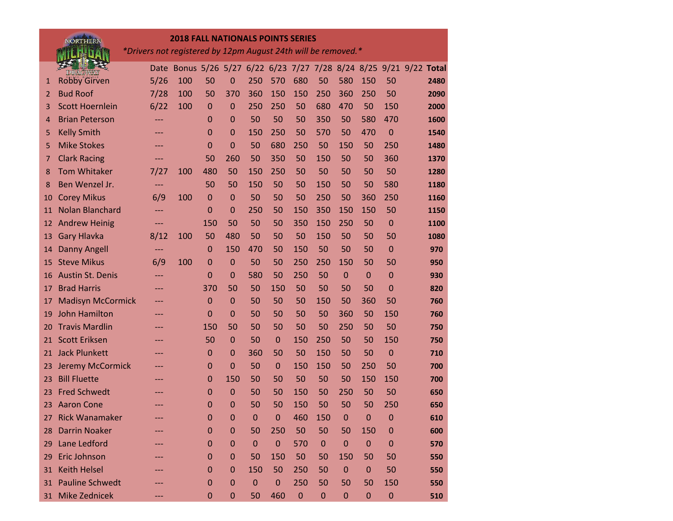| <b>2018 FALL NATIONALS POINTS SERIES</b><br><b>NORTHERN</b> |                          |                                                               |                                                               |             |                |              |                  |             |              |                  |              |             |      |
|-------------------------------------------------------------|--------------------------|---------------------------------------------------------------|---------------------------------------------------------------|-------------|----------------|--------------|------------------|-------------|--------------|------------------|--------------|-------------|------|
|                                                             |                          | *Drivers not registered by 12pm August 24th will be removed.* |                                                               |             |                |              |                  |             |              |                  |              |             |      |
|                                                             | DRAGWAY                  | Date                                                          | Bonus 5/26 5/27 6/22 6/23 7/27 7/28 8/24 8/25 9/21 9/22 Total |             |                |              |                  |             |              |                  |              |             |      |
| 1                                                           | Robby Girven             | 5/26                                                          | 100                                                           | 50          | $\overline{0}$ | 250          | 570              | 680         | 50           | 580              | 150          | 50          | 2480 |
| 2                                                           | <b>Bud Roof</b>          | 7/28                                                          | 100                                                           | 50          | 370            | 360          | 150              | 150         | 250          | 360              | 250          | 50          | 2090 |
| 3                                                           | <b>Scott Hoernlein</b>   | 6/22                                                          | 100                                                           | $\mathbf 0$ | $\mathbf 0$    | 250          | 250              | 50          | 680          | 470              | 50           | 150         | 2000 |
| 4                                                           | <b>Brian Peterson</b>    | ---                                                           |                                                               | 0           | 0              | 50           | 50               | 50          | 350          | 50               | 580          | 470         | 1600 |
| 5                                                           | <b>Kelly Smith</b>       | ---                                                           |                                                               | 0           | $\mathbf 0$    | 150          | 250              | 50          | 570          | 50               | 470          | $\mathbf 0$ | 1540 |
| 5                                                           | <b>Mike Stokes</b>       | ---                                                           |                                                               | 0           | $\mathbf 0$    | 50           | 680              | 250         | 50           | 150              | 50           | 250         | 1480 |
| 7                                                           | <b>Clark Racing</b>      |                                                               |                                                               | 50          | 260            | 50           | 350              | 50          | 150          | 50               | 50           | 360         | 1370 |
| 8                                                           | <b>Tom Whitaker</b>      | 7/27                                                          | 100                                                           | 480         | 50             | 150          | 250              | 50          | 50           | 50               | 50           | 50          | 1280 |
| 8                                                           | Ben Wenzel Jr.           | ---                                                           |                                                               | 50          | 50             | 150          | 50               | 50          | 150          | 50               | 50           | 580         | 1180 |
| 10                                                          | <b>Corey Mikus</b>       | 6/9                                                           | 100                                                           | $\Omega$    | 0              | 50           | 50               | 50          | 250          | 50               | 360          | 250         | 1160 |
| 11                                                          | <b>Nolan Blanchard</b>   | ---                                                           |                                                               | 0           | 0              | 250          | 50               | 150         | 350          | 150              | 150          | 50          | 1150 |
| 12                                                          | <b>Andrew Heinig</b>     | ---                                                           |                                                               | 150         | 50             | 50           | 50               | 350         | 150          | 250              | 50           | $\mathbf 0$ | 1100 |
| 13                                                          | <b>Gary Hlavka</b>       | 8/12                                                          | 100                                                           | 50          | 480            | 50           | 50               | 50          | 150          | 50               | 50           | 50          | 1080 |
| 14                                                          | <b>Danny Angell</b>      | ---                                                           |                                                               | $\mathbf 0$ | 150            | 470          | 50               | 150         | 50           | 50               | 50           | $\mathbf 0$ | 970  |
| 15                                                          | <b>Steve Mikus</b>       | 6/9                                                           | 100                                                           | 0           | $\mathbf 0$    | 50           | 50               | 250         | 250          | 150              | 50           | 50          | 950  |
| 16                                                          | <b>Austin St. Denis</b>  | ---                                                           |                                                               | 0           | $\mathbf 0$    | 580          | 50               | 250         | 50           | $\mathbf{0}$     | $\mathbf 0$  | $\mathbf 0$ | 930  |
| 17                                                          | <b>Brad Harris</b>       | ---                                                           |                                                               | 370         | 50             | 50           | 150              | 50          | 50           | 50               | 50           | 0           | 820  |
| 17                                                          | <b>Madisyn McCormick</b> |                                                               |                                                               | 0           | 0              | 50           | 50               | 50          | 150          | 50               | 360          | 50          | 760  |
| 19                                                          | <b>John Hamilton</b>     |                                                               |                                                               | 0           | 0              | 50           | 50               | 50          | 50           | 360              | 50           | 150         | 760  |
| 20                                                          | <b>Travis Mardlin</b>    |                                                               |                                                               | 150         | 50             | 50           | 50               | 50          | 50           | 250              | 50           | 50          | 750  |
| 21                                                          | <b>Scott Eriksen</b>     |                                                               |                                                               | 50          | 0              | 50           | $\Omega$         | 150         | 250          | 50               | 50           | 150         | 750  |
| 21                                                          | <b>Jack Plunkett</b>     |                                                               |                                                               | 0           | 0              | 360          | 50               | 50          | 150          | 50               | 50           | 0           | 710  |
| 23                                                          | Jeremy McCormick         |                                                               |                                                               | 0           | $\Omega$       | 50           | $\overline{0}$   | 150         | 150          | 50               | 250          | 50          | 700  |
| 23                                                          | <b>Bill Fluette</b>      |                                                               |                                                               | 0           | 150            | 50           | 50               | 50          | 50           | 50               | 150          | 150         | 700  |
| 23                                                          | <b>Fred Schwedt</b>      |                                                               |                                                               | 0           | $\Omega$       | 50           | 50               | 150         | 50           | 250              | 50           | 50          | 650  |
| 23                                                          | <b>Aaron Cone</b>        |                                                               |                                                               | 0           | 0              | 50           | 50               | 150         | 50           | 50               | 50           | 250         | 650  |
| 27                                                          | <b>Rick Wanamaker</b>    |                                                               |                                                               | 0           | $\mathbf 0$    | 0            | $\boldsymbol{0}$ | 460         | 150          | $\mathbf 0$      | $\mathbf{0}$ | 0           | 610  |
| 28                                                          | <b>Darrin Noaker</b>     |                                                               |                                                               | $\mathbf 0$ | $\mathbf 0$    | 50           | 250              | 50          | 50           | 50               | 150          | 0           | 600  |
| 29                                                          | Lane Ledford             |                                                               |                                                               | $\mathbf 0$ | $\mathbf 0$    | $\mathbf{0}$ | $\mathbf 0$      | 570         | $\mathbf{0}$ | $\boldsymbol{0}$ | $\mathbf{0}$ | $\mathbf 0$ | 570  |
| 29                                                          | Eric Johnson             |                                                               |                                                               | $\mathbf 0$ | $\mathbf 0$    | 50           | 150              | 50          | 50           | 150              | 50           | 50          | 550  |
| 31                                                          | <b>Keith Helsel</b>      |                                                               |                                                               | 0           | $\mathbf 0$    | 150          | 50               | 250         | 50           | $\mathbf 0$      | $\mathbf{0}$ | 50          | 550  |
| 31                                                          | <b>Pauline Schwedt</b>   |                                                               |                                                               | 0           | $\mathbf 0$    | $\mathbf{0}$ | $\mathbf{0}$     | 250         | 50           | 50               | 50           | 150         | 550  |
| 31 <sup>2</sup>                                             | <b>Mike Zednicek</b>     | ---                                                           |                                                               | $\mathbf 0$ | $\mathbf 0$    | 50           | 460              | $\mathbf 0$ | $\mathbf 0$  | 0                | $\mathbf 0$  | $\mathbf 0$ | 510  |